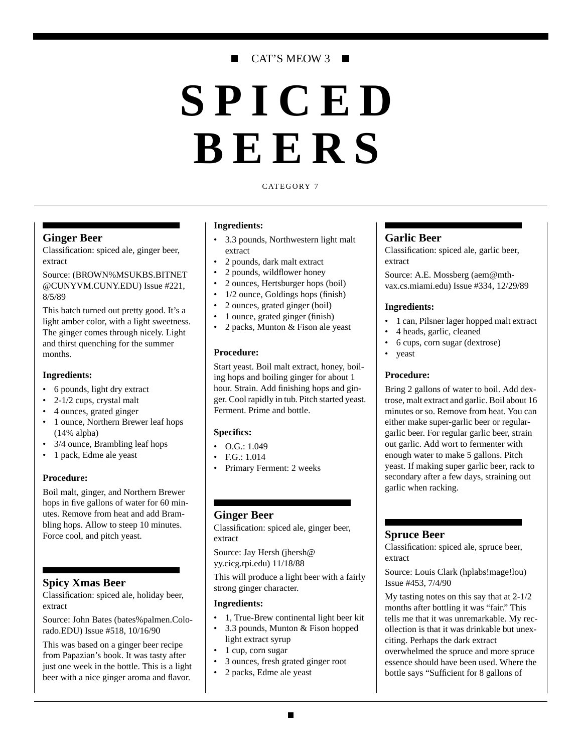# CAT'S MEOW 3 ■

# **SPICED BEERS**

#### CATEGORY 7

# **Ginger Beer**

Classification: spiced ale, ginger beer, extract

Source: (BROWN%MSUKBS.BITNET @CUNYVM.CUNY.EDU) Issue #221, 8/5/89

This batch turned out pretty good. It's a light amber color, with a light sweetness. The ginger comes through nicely. Light and thirst quenching for the summer months.

#### **Ingredients:**

- 6 pounds, light dry extract
- 2-1/2 cups, crystal malt
- 4 ounces, grated ginger
- 1 ounce, Northern Brewer leaf hops (14% alpha)
- 3/4 ounce, Brambling leaf hops
- 1 pack, Edme ale yeast

# **Procedure:**

Boil malt, ginger, and Northern Brewer hops in five gallons of water for 60 minutes. Remove from heat and add Brambling hops. Allow to steep 10 minutes. Force cool, and pitch yeast.

# **Spicy Xmas Beer**

Classification: spiced ale, holiday beer, extract

Source: John Bates (bates%palmen.Colorado.EDU) Issue #518, 10/16/90

This was based on a ginger beer recipe from Papazian's book. It was tasty after just one week in the bottle. This is a light beer with a nice ginger aroma and flavor.

#### **Ingredients:**

- 3.3 pounds, Northwestern light malt extract
- 2 pounds, dark malt extract
- 2 pounds, wildflower honey
- 2 ounces, Hertsburger hops (boil)
- $1/2$  ounce, Goldings hops (finish)
- 2 ounces, grated ginger (boil)
- 1 ounce, grated ginger (finish)
- 2 packs, Munton & Fison ale yeast

# **Procedure:**

Start yeast. Boil malt extract, honey, boiling hops and boiling ginger for about 1 hour. Strain. Add finishing hops and ginger. Cool rapidly in tub. Pitch started yeast. Ferment. Prime and bottle.

# **Specifics:**

- $\bullet$  O.G.: 1.049
- F.G.: 1.014
- Primary Ferment: 2 weeks

# **Ginger Beer**

Classification: spiced ale, ginger beer, extract

Source: Jay Hersh (jhersh@ yy.cicg.rpi.edu) 11/18/88

This will produce a light beer with a fairly strong ginger character.

# **Ingredients:**

- 1, True-Brew continental light beer kit
- 3.3 pounds, Munton & Fison hopped light extract syrup
- 1 cup, corn sugar
- 3 ounces, fresh grated ginger root
- 2 packs, Edme ale yeast

# **Garlic Beer**

Classification: spiced ale, garlic beer, extract

Source: A.E. Mossberg (aem@mthvax.cs.miami.edu) Issue #334, 12/29/89

#### **Ingredients:**

- 1 can, Pilsner lager hopped malt extract
- 4 heads, garlic, cleaned
- 6 cups, corn sugar (dextrose)
- yeast

# **Procedure:**

Bring 2 gallons of water to boil. Add dextrose, malt extract and garlic. Boil about 16 minutes or so. Remove from heat. You can either make super-garlic beer or regulargarlic beer. For regular garlic beer, strain out garlic. Add wort to fermenter with enough water to make 5 gallons. Pitch yeast. If making super garlic beer, rack to secondary after a few days, straining out garlic when racking.

# **Spruce Beer**

Classification: spiced ale, spruce beer, extract

Source: Louis Clark (hplabs!mage!lou) Issue #453, 7/4/90

My tasting notes on this say that at 2-1/2 months after bottling it was "fair." This tells me that it was unremarkable. My recollection is that it was drinkable but unexciting. Perhaps the dark extract overwhelmed the spruce and more spruce essence should have been used. Where the bottle says "Sufficient for 8 gallons of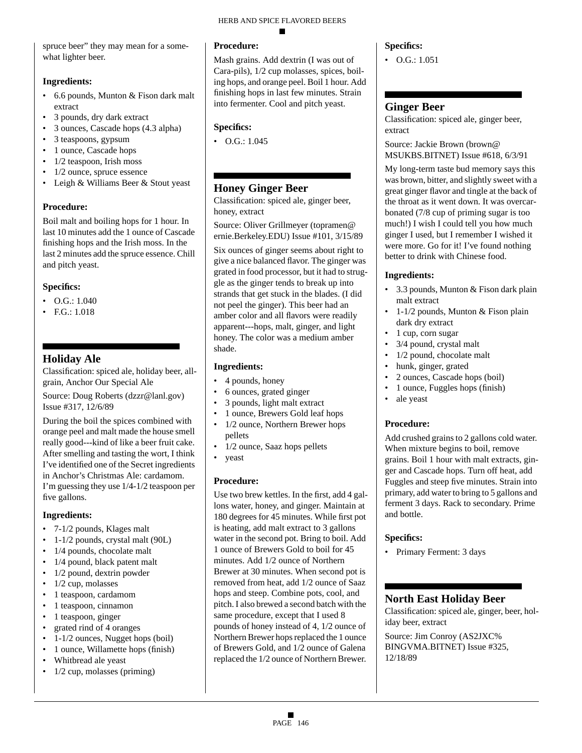#### HERB AND SPICE FLAVORED BEERS

spruce beer" they may mean for a somewhat lighter beer.

#### **Ingredients:**

- 6.6 pounds, Munton & Fison dark malt extract
- 3 pounds, dry dark extract
- 3 ounces, Cascade hops (4.3 alpha)
- 3 teaspoons, gypsum
- 1 ounce, Cascade hops
- $\cdot$  1/2 teaspoon, Irish moss
- 1/2 ounce, spruce essence
- Leigh & Williams Beer & Stout yeast

# **Procedure:**

Boil malt and boiling hops for 1 hour. In last 10 minutes add the 1 ounce of Cascade finishing hops and the Irish moss. In the last 2 minutes add the spruce essence. Chill and pitch yeast.

# **Specifics:**

- $\bullet$  O.G.: 1.040
- F.G.: 1.018

# **Holiday Ale**

Classification: spiced ale, holiday beer, allgrain, Anchor Our Special Ale

Source: Doug Roberts (dzzr@lanl.gov) Issue #317, 12/6/89

During the boil the spices combined with orange peel and malt made the house smell really good---kind of like a beer fruit cake. After smelling and tasting the wort, I think I've identified one of the Secret ingredients in Anchor's Christmas Ale: cardamom. I'm guessing they use 1/4-1/2 teaspoon per five gallons.

# **Ingredients:**

- 7-1/2 pounds, Klages malt
- 1-1/2 pounds, crystal malt (90L)
- 1/4 pounds, chocolate malt
- 1/4 pound, black patent malt
- 1/2 pound, dextrin powder
- $\cdot$  1/2 cup, molasses
- 1 teaspoon, cardamom
- 1 teaspoon, cinnamon
- 1 teaspoon, ginger
- grated rind of 4 oranges
- 1-1/2 ounces, Nugget hops (boil)
- 1 ounce, Willamette hops (finish)
- Whitbread ale yeast
- 1/2 cup, molasses (priming)

# **Procedure:**

Mash grains. Add dextrin (I was out of Cara-pils), 1/2 cup molasses, spices, boiling hops, and orange peel. Boil 1 hour. Add finishing hops in last few minutes. Strain into fermenter. Cool and pitch yeast.

# **Specifics:**

 $\bullet$  O.G.: 1.045

# **Honey Ginger Beer**

Classification: spiced ale, ginger beer, honey, extract

Source: Oliver Grillmeyer (topramen@ ernie.Berkeley.EDU) Issue #101, 3/15/89

Six ounces of ginger seems about right to give a nice balanced flavor. The ginger was grated in food processor, but it had to struggle as the ginger tends to break up into strands that get stuck in the blades. (I did not peel the ginger). This beer had an amber color and all flavors were readily apparent---hops, malt, ginger, and light honey. The color was a medium amber shade.

# **Ingredients:**

- 4 pounds, honey
- 6 ounces, grated ginger
- 3 pounds, light malt extract
- 1 ounce, Brewers Gold leaf hops
- 1/2 ounce, Northern Brewer hops pellets
- 1/2 ounce, Saaz hops pellets
- yeast

# **Procedure:**

Use two brew kettles. In the first, add 4 gallons water, honey, and ginger. Maintain at 180 degrees for 45 minutes. While first pot is heating, add malt extract to 3 gallons water in the second pot. Bring to boil. Add 1 ounce of Brewers Gold to boil for 45 minutes. Add 1/2 ounce of Northern Brewer at 30 minutes. When second pot is removed from heat, add 1/2 ounce of Saaz hops and steep. Combine pots, cool, and pitch. I also brewed a second batch with the same procedure, except that I used 8 pounds of honey instead of 4, 1/2 ounce of Northern Brewer hops replaced the 1 ounce of Brewers Gold, and 1/2 ounce of Galena replaced the 1/2 ounce of Northern Brewer.

#### **Specifics:**

 $\bullet$  O.G.: 1.051

# **Ginger Beer**

Classification: spiced ale, ginger beer, extract

Source: Jackie Brown (brown@ MSUKBS.BITNET) Issue #618, 6/3/91

My long-term taste bud memory says this was brown, bitter, and slightly sweet with a great ginger flavor and tingle at the back of the throat as it went down. It was overcarbonated (7/8 cup of priming sugar is too much!) I wish I could tell you how much ginger I used, but I remember I wished it were more. Go for it! I've found nothing better to drink with Chinese food.

# **Ingredients:**

- 3.3 pounds, Munton & Fison dark plain malt extract
- 1-1/2 pounds, Munton & Fison plain dark dry extract
- 1 cup, corn sugar
- 3/4 pound, crystal malt
- 1/2 pound, chocolate malt
- hunk, ginger, grated
- 2 ounces, Cascade hops (boil)
- 1 ounce, Fuggles hops (finish)
- ale yeast

# **Procedure:**

Add crushed grains to 2 gallons cold water. When mixture begins to boil, remove grains. Boil 1 hour with malt extracts, ginger and Cascade hops. Turn off heat, add Fuggles and steep five minutes. Strain into primary, add water to bring to 5 gallons and ferment 3 days. Rack to secondary. Prime and bottle.

# **Specifics:**

• Primary Ferment: 3 days

# **North East Holiday Beer**

Classification: spiced ale, ginger, beer, holiday beer, extract

Source: Jim Conroy (AS2JXC% BINGVMA.BITNET) Issue #325, 12/18/89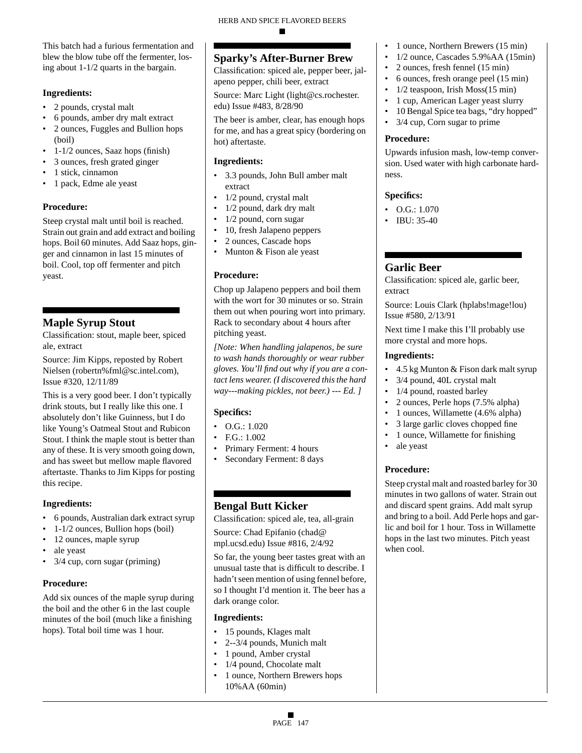This batch had a furious fermentation and blew the blow tube off the fermenter, losing about 1-1/2 quarts in the bargain.

# **Ingredients:**

- 2 pounds, crystal malt
- 6 pounds, amber dry malt extract
- 2 ounces, Fuggles and Bullion hops (boil)
- 1-1/2 ounces, Saaz hops (finish)
- 3 ounces, fresh grated ginger
- 1 stick, cinnamon
- 1 pack, Edme ale yeast

# **Procedure:**

Steep crystal malt until boil is reached. Strain out grain and add extract and boiling hops. Boil 60 minutes. Add Saaz hops, ginger and cinnamon in last 15 minutes of boil. Cool, top off fermenter and pitch yeast.

# **Maple Syrup Stout**

Classification: stout, maple beer, spiced ale, extract

Source: Jim Kipps, reposted by Robert Nielsen (robertn%fml@sc.intel.com), Issue #320, 12/11/89

This is a very good beer. I don't typically drink stouts, but I really like this one. I absolutely don't like Guinness, but I do like Young's Oatmeal Stout and Rubicon Stout. I think the maple stout is better than any of these. It is very smooth going down, and has sweet but mellow maple flavored aftertaste. Thanks to Jim Kipps for posting this recipe.

# **Ingredients:**

- 6 pounds, Australian dark extract syrup
- 1-1/2 ounces, Bullion hops (boil)
- 12 ounces, maple syrup
- ale yeast
- 3/4 cup, corn sugar (priming)

# **Procedure:**

Add six ounces of the maple syrup during the boil and the other 6 in the last couple minutes of the boil (much like a finishing hops). Total boil time was 1 hour.

# **Sparky's After-Burner Brew**

Classification: spiced ale, pepper beer, jalapeno pepper, chili beer, extract

Source: Marc Light (light@cs.rochester. edu) Issue #483, 8/28/90

The beer is amber, clear, has enough hops for me, and has a great spicy (bordering on hot) aftertaste.

# **Ingredients:**

- 3.3 pounds, John Bull amber malt extract
- 1/2 pound, crystal malt
- 1/2 pound, dark dry malt
- 1/2 pound, corn sugar
- 10, fresh Jalapeno peppers
- 2 ounces, Cascade hops
- Munton & Fison ale yeast

# **Procedure:**

Chop up Jalapeno peppers and boil them with the wort for 30 minutes or so. Strain them out when pouring wort into primary. Rack to secondary about 4 hours after pitching yeast.

*[Note: When handling jalapenos, be sure to wash hands thoroughly or wear rubber gloves. You'll find out why if you are a contact lens wearer. (I discovered this the hard way---making pickles, not beer.) --- Ed. ]*

# **Specifics:**

- $O.G.: 1.020$
- F.G.: 1.002
- Primary Ferment: 4 hours
- Secondary Ferment: 8 days

# **Bengal Butt Kicker**

Classification: spiced ale, tea, all-grain

Source: Chad Epifanio (chad@ mpl.ucsd.edu) Issue #816, 2/4/92

So far, the young beer tastes great with an unusual taste that is difficult to describe. I hadn't seen mention of using fennel before, so I thought I'd mention it. The beer has a dark orange color.

# **Ingredients:**

- 15 pounds, Klages malt
- 2--3/4 pounds, Munich malt
- 1 pound, Amber crystal
- 1/4 pound, Chocolate malt
- 1 ounce, Northern Brewers hops 10%AA (60min)
- 1 ounce, Northern Brewers (15 min)
- 1/2 ounce, Cascades 5.9%AA (15min)
- 2 ounces, fresh fennel (15 min)
- 6 ounces, fresh orange peel (15 min)
- 1/2 teaspoon, Irish Moss(15 min)
- 1 cup, American Lager yeast slurry
- 10 Bengal Spice tea bags, "dry hopped"
- 3/4 cup, Corn sugar to prime

# **Procedure:**

Upwards infusion mash, low-temp conversion. Used water with high carbonate hardness.

# **Specifics:**

- O.G.: 1.070
- IBU: 35-40

# **Garlic Beer**

Classification: spiced ale, garlic beer, extract

Source: Louis Clark (hplabs!mage!lou) Issue #580, 2/13/91

Next time I make this I'll probably use more crystal and more hops.

# **Ingredients:**

- 4.5 kg Munton & Fison dark malt syrup
- 3/4 pound, 40L crystal malt
- 1/4 pound, roasted barley
- 2 ounces, Perle hops (7.5% alpha)
- 1 ounces, Willamette (4.6% alpha)
- 3 large garlic cloves chopped fine
- 1 ounce, Willamette for finishing
- ale yeast

# **Procedure:**

Steep crystal malt and roasted barley for 30 minutes in two gallons of water. Strain out and discard spent grains. Add malt syrup and bring to a boil. Add Perle hops and garlic and boil for 1 hour. Toss in Willamette hops in the last two minutes. Pitch yeast when cool.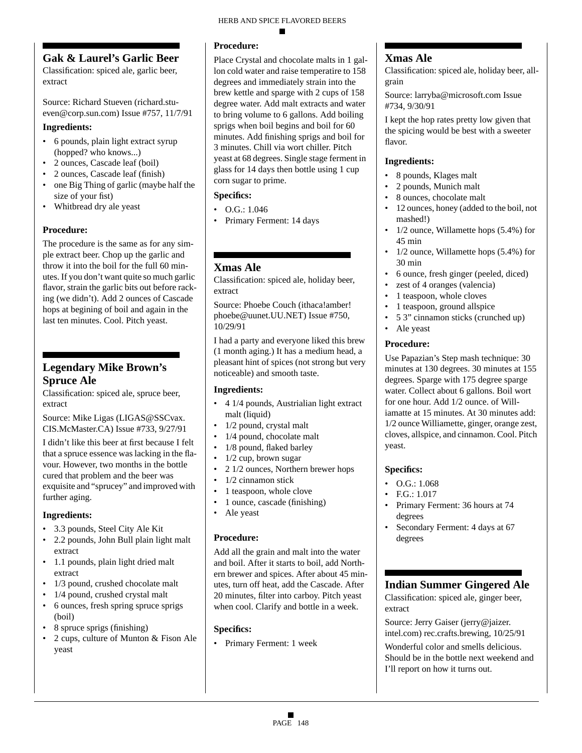# **Gak & Laurel's Garlic Beer**

Classification: spiced ale, garlic beer, extract

Source: Richard Stueven (richard.stueven@corp.sun.com) Issue #757, 11/7/91

#### **Ingredients:**

- 6 pounds, plain light extract syrup (hopped? who knows...)
- 2 ounces, Cascade leaf (boil)
- 2 ounces, Cascade leaf (finish)
- one Big Thing of garlic (maybe half the size of your fist)
- Whitbread dry ale yeast

# **Procedure:**

The procedure is the same as for any simple extract beer. Chop up the garlic and throw it into the boil for the full 60 minutes. If you don't want quite so much garlic flavor, strain the garlic bits out before racking (we didn't). Add 2 ounces of Cascade hops at begining of boil and again in the last ten minutes. Cool. Pitch yeast.

# **Legendary Mike Brown's Spruce Ale**

Classification: spiced ale, spruce beer, extract

Source: Mike Ligas (LIGAS@SSCvax. CIS.McMaster.CA) Issue #733, 9/27/91

I didn't like this beer at first because I felt that a spruce essence was lacking in the flavour. However, two months in the bottle cured that problem and the beer was exquisite and "sprucey" and improved with further aging.

# **Ingredients:**

- 3.3 pounds, Steel City Ale Kit
- 2.2 pounds, John Bull plain light malt extract
- 1.1 pounds, plain light dried malt extract
- 1/3 pound, crushed chocolate malt
- 1/4 pound, crushed crystal malt
- 6 ounces, fresh spring spruce sprigs (boil)
- 8 spruce sprigs (finishing)
- 2 cups, culture of Munton & Fison Ale yeast

# **Procedure:**

Place Crystal and chocolate malts in 1 gallon cold water and raise temperatire to 158 degrees and immediately strain into the brew kettle and sparge with 2 cups of 158 degree water. Add malt extracts and water to bring volume to 6 gallons. Add boiling sprigs when boil begins and boil for 60 minutes. Add finishing sprigs and boil for 3 minutes. Chill via wort chiller. Pitch yeast at 68 degrees. Single stage ferment in glass for 14 days then bottle using 1 cup corn sugar to prime.

# **Specifics:**

- O.G.: 1.046
- Primary Ferment: 14 days

# **Xmas Ale**

Classification: spiced ale, holiday beer, extract

Source: Phoebe Couch (ithaca!amber! phoebe@uunet.UU.NET) Issue #750, 10/29/91

I had a party and everyone liked this brew (1 month aging.) It has a medium head, a pleasant hint of spices (not strong but very noticeable) and smooth taste.

# **Ingredients:**

- 4 1/4 pounds, Austrialian light extract malt (liquid)
- 1/2 pound, crystal malt
- 1/4 pound, chocolate malt
- 1/8 pound, flaked barley
- $1/2$  cup, brown sugar
- 2 1/2 ounces, Northern brewer hops
- 1/2 cinnamon stick
- 1 teaspoon, whole clove
- 1 ounce, cascade (finishing)
- Ale yeast

# **Procedure:**

Add all the grain and malt into the water and boil. After it starts to boil, add Northern brewer and spices. After about 45 minutes, turn off heat, add the Cascade. After 20 minutes, filter into carboy. Pitch yeast when cool. Clarify and bottle in a week.

# **Specifics:**

• Primary Ferment: 1 week

# **Xmas Ale**

Classification: spiced ale, holiday beer, allgrain

Source: larryba@microsoft.com Issue #734, 9/30/91

I kept the hop rates pretty low given that the spicing would be best with a sweeter flavor.

# **Ingredients:**

- 8 pounds, Klages malt
- 2 pounds, Munich malt
- 8 ounces, chocolate malt
- 12 ounces, honey (added to the boil, not mashed!)
- 1/2 ounce, Willamette hops (5.4%) for 45 min
- 1/2 ounce, Willamette hops (5.4%) for 30 min
- 6 ounce, fresh ginger (peeled, diced)
- zest of 4 oranges (valencia)
- 1 teaspoon, whole cloves
- 1 teaspoon, ground allspice
- 5 3" cinnamon sticks (crunched up)
- Ale yeast

# **Procedure:**

Use Papazian's Step mash technique: 30 minutes at 130 degrees. 30 minutes at 155 degrees. Sparge with 175 degree sparge water. Collect about 6 gallons. Boil wort for one hour. Add 1/2 ounce. of Williamatte at 15 minutes. At 30 minutes add: 1/2 ounce Williamette, ginger, orange zest, cloves, allspice, and cinnamon. Cool. Pitch yeast.

# **Specifics:**

- O.G.: 1.068
- F.G.: 1.017
- Primary Ferment: 36 hours at 74 degrees
- Secondary Ferment: 4 days at 67 degrees

# **Indian Summer Gingered Ale**

Classification: spiced ale, ginger beer, extract

Source: Jerry Gaiser (jerry@jaizer. intel.com) rec.crafts.brewing, 10/25/91

Wonderful color and smells delicious. Should be in the bottle next weekend and I'll report on how it turns out.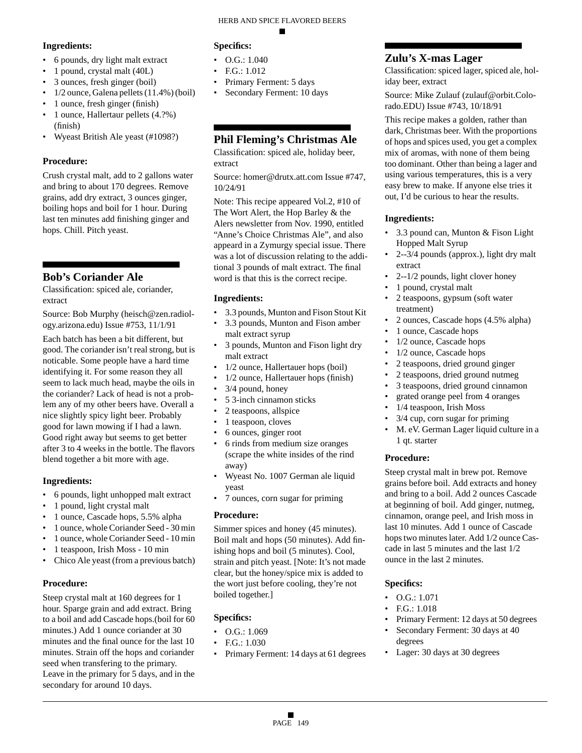# **Ingredients:**

- 6 pounds, dry light malt extract
- 1 pound, crystal malt (40L)
- 3 ounces, fresh ginger (boil)
- $\bullet$  1/2 ounce, Galena pellets (11.4%) (boil)
- 1 ounce, fresh ginger (finish)
- 1 ounce, Hallertaur pellets  $(4.?)\%$ (finish)
- Wyeast British Ale yeast (#1098?)

# **Procedure:**

Crush crystal malt, add to 2 gallons water and bring to about 170 degrees. Remove grains, add dry extract, 3 ounces ginger, boiling hops and boil for 1 hour. During last ten minutes add finishing ginger and hops. Chill. Pitch yeast.

# **Bob's Coriander Ale**

Classification: spiced ale, coriander, extract

Source: Bob Murphy (heisch@zen.radiology.arizona.edu) Issue #753, 11/1/91

Each batch has been a bit different, but good. The coriander isn't real strong, but is noticable. Some people have a hard time identifying it. For some reason they all seem to lack much head, maybe the oils in the coriander? Lack of head is not a problem any of my other beers have. Overall a nice slightly spicy light beer. Probably good for lawn mowing if I had a lawn. Good right away but seems to get better after 3 to 4 weeks in the bottle. The flavors blend together a bit more with age.

# **Ingredients:**

- 6 pounds, light unhopped malt extract
- 1 pound, light crystal malt
- 1 ounce, Cascade hops, 5.5% alpha
- 1 ounce, whole Coriander Seed 30 min
- 1 ounce, whole Coriander Seed 10 min
- 1 teaspoon, Irish Moss 10 min
- Chico Ale yeast (from a previous batch)

# **Procedure:**

Steep crystal malt at 160 degrees for 1 hour. Sparge grain and add extract. Bring to a boil and add Cascade hops.(boil for 60 minutes.) Add 1 ounce coriander at 30 minutes and the final ounce for the last 10 minutes. Strain off the hops and coriander seed when transfering to the primary. Leave in the primary for 5 days, and in the secondary for around 10 days.

# **Specifics:**

- $O.G.: 1.040$
- $FG: 1.012$
- Primary Ferment: 5 days
- Secondary Ferment: 10 days

# **Phil Fleming's Christmas Ale**

Classification: spiced ale, holiday beer, extract

Source: homer@drutx.att.com Issue #747, 10/24/91

Note: This recipe appeared Vol.2, #10 of The Wort Alert, the Hop Barley & the Alers newsletter from Nov. 1990, entitled "Anne's Choice Christmas Ale", and also appeard in a Zymurgy special issue. There was a lot of discussion relating to the additional 3 pounds of malt extract. The final word is that this is the correct recipe.

# **Ingredients:**

- 3.3 pounds, Munton and Fison Stout Kit
- 3.3 pounds, Munton and Fison amber malt extract syrup
- 3 pounds, Munton and Fison light dry malt extract
- 1/2 ounce, Hallertauer hops (boil)
- 1/2 ounce, Hallertauer hops (finish)
	- 3/4 pound, honey
- 5 3-inch cinnamon sticks
- 2 teaspoons, allspice
- 1 teaspoon, cloves
- 6 ounces, ginger root
- 6 rinds from medium size oranges (scrape the white insides of the rind away)
- Wyeast No. 1007 German ale liquid yeast
- 7 ounces, corn sugar for priming

# **Procedure:**

Simmer spices and honey (45 minutes). Boil malt and hops (50 minutes). Add finishing hops and boil (5 minutes). Cool, strain and pitch yeast. [Note: It's not made clear, but the honey/spice mix is added to the wort just before cooling, they're not boiled together.]

# **Specifics:**

- O.G.: 1.069
- F.G.: 1.030
- Primary Ferment: 14 days at 61 degrees

# **Zulu's X-mas Lager**

Classification: spiced lager, spiced ale, holiday beer, extract

Source: Mike Zulauf (zulauf@orbit.Colorado.EDU) Issue #743, 10/18/91

This recipe makes a golden, rather than dark, Christmas beer. With the proportions of hops and spices used, you get a complex mix of aromas, with none of them being too dominant. Other than being a lager and using various temperatures, this is a very easy brew to make. If anyone else tries it out, I'd be curious to hear the results.

# **Ingredients:**

- 3.3 pound can, Munton & Fison Light Hopped Malt Syrup
- 2--3/4 pounds (approx.), light dry malt extract
- 2--1/2 pounds, light clover honey
- 1 pound, crystal malt
- 2 teaspoons, gypsum (soft water treatment)
- 2 ounces, Cascade hops (4.5% alpha)
- 1 ounce, Cascade hops
- 1/2 ounce, Cascade hops
- 1/2 ounce, Cascade hops
- 2 teaspoons, dried ground ginger
- 2 teaspoons, dried ground nutmeg
- 3 teaspoons, dried ground cinnamon
- grated orange peel from 4 oranges
- 1/4 teaspoon, Irish Moss
- 3/4 cup, corn sugar for priming
- M. eV. German Lager liquid culture in a 1 qt. starter

# **Procedure:**

Steep crystal malt in brew pot. Remove grains before boil. Add extracts and honey and bring to a boil. Add 2 ounces Cascade at beginning of boil. Add ginger, nutmeg, cinnamon, orange peel, and Irish moss in last 10 minutes. Add 1 ounce of Cascade hops two minutes later. Add 1/2 ounce Cascade in last 5 minutes and the last 1/2 ounce in the last 2 minutes.

# **Specifics:**

- O.G.: 1.071
- F.G.: 1.018
- Primary Ferment: 12 days at 50 degrees
- Secondary Ferment: 30 days at 40 degrees
- Lager: 30 days at 30 degrees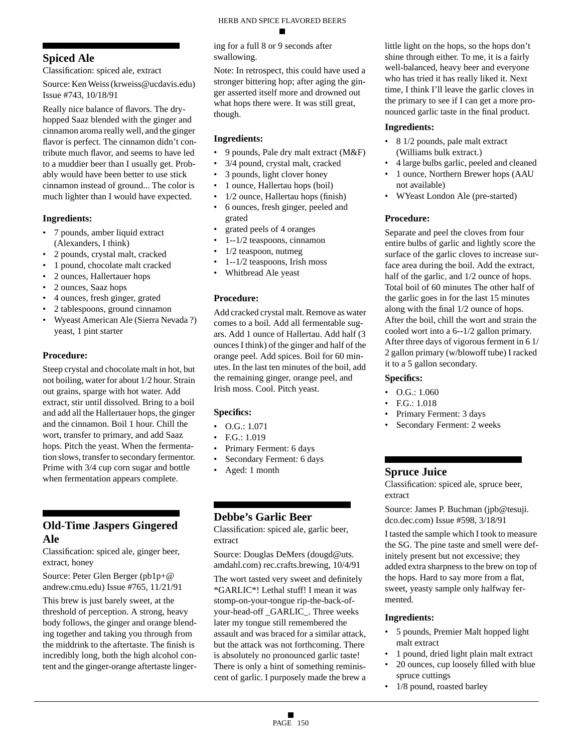# **Spiced Ale**

Classification: spiced ale, extract

Source: Ken Weiss (krweiss@ucdavis.edu) Issue #743, 10/18/91

Really nice balance of flavors. The dryhopped Saaz blended with the ginger and cinnamon aroma really well, and the ginger flavor is perfect. The cinnamon didn't contribute much flavor, and seems to have led to a muddier beer than I usually get. Probably would have been better to use stick cinnamon instead of ground... The color is much lighter than I would have expected.

# **Ingredients:**

- 7 pounds, amber liquid extract (Alexanders, I think)
- 2 pounds, crystal malt, cracked
- 1 pound, chocolate malt cracked
- 2 ounces, Hallertauer hops
- 2 ounces, Saaz hops
- 4 ounces, fresh ginger, grated
- 2 tablespoons, ground cinnamon
- Wyeast American Ale (Sierra Nevada ?) yeast, 1 pint starter

# **Procedure:**

Steep crystal and chocolate malt in hot, but not boiling, water for about 1/2 hour. Strain out grains, sparge with hot water. Add extract, stir until dissolved. Bring to a boil and add all the Hallertauer hops, the ginger and the cinnamon. Boil 1 hour. Chill the wort, transfer to primary, and add Saaz hops. Pitch the yeast. When the fermentation slows, transfer to secondary fermentor. Prime with 3/4 cup corn sugar and bottle when fermentation appears complete.

# **Old-Time Jaspers Gingered Ale**

Classification: spiced ale, ginger beer, extract, honey

Source: Peter Glen Berger (pb1p+@ andrew.cmu.edu) Issue #765, 11/21/91

This brew is just barely sweet, at the threshold of perception. A strong, heavy body follows, the ginger and orange blending together and taking you through from the middrink to the aftertaste. The finish is incredibly long, both the high alcohol content and the ginger-orange aftertaste lingering for a full 8 or 9 seconds after swallowing.

Note: In retrospect, this could have used a stronger bittering hop; after aging the ginger asserted itself more and drowned out what hops there were. It was still great, though.

# **Ingredients:**

- 9 pounds, Pale dry malt extract (M&F)
- 3/4 pound, crystal malt, cracked
- 3 pounds, light clover honey
- 1 ounce, Hallertau hops (boil)
- 1/2 ounce, Hallertau hops (finish)
- 6 ounces, fresh ginger, peeled and grated
- grated peels of 4 oranges
- 1--1/2 teaspoons, cinnamon
- 1/2 teaspoon, nutmeg
- 1--1/2 teaspoons, Irish moss
- Whitbread Ale yeast

# **Procedure:**

Add cracked crystal malt. Remove as water comes to a boil. Add all fermentable sugars. Add 1 ounce of Hallertau. Add half (3 ounces I think) of the ginger and half of the orange peel. Add spices. Boil for 60 minutes. In the last ten minutes of the boil, add the remaining ginger, orange peel, and Irish moss. Cool. Pitch yeast.

# **Specifics:**

- O.G.: 1.071
- F.G.: 1.019
- Primary Ferment: 6 days
- Secondary Ferment: 6 days
- Aged: 1 month

# **Debbe's Garlic Beer**

Classification: spiced ale, garlic beer, extract

Source: Douglas DeMers (dougd@uts. amdahl.com) rec.crafts.brewing, 10/4/91

The wort tasted very sweet and definitely \*GARLIC\*! Lethal stuff! I mean it was stomp-on-your-tongue rip-the-back-ofyour-head-off \_GARLIC\_. Three weeks later my tongue still remembered the assault and was braced for a similar attack, but the attack was not forthcoming. There is absolutely no pronounced garlic taste! There is only a hint of something reminiscent of garlic. I purposely made the brew a

little light on the hops, so the hops don't shine through either. To me, it is a fairly well-balanced, heavy beer and everyone who has tried it has really liked it. Next time, I think I'll leave the garlic cloves in the primary to see if I can get a more pronounced garlic taste in the final product.

# **Ingredients:**

- 8 1/2 pounds, pale malt extract (Williams bulk extract.)
- 4 large bulbs garlic, peeled and cleaned
- 1 ounce, Northern Brewer hops (AAU not available)
- WYeast London Ale (pre-started)

# **Procedure:**

Separate and peel the cloves from four entire bulbs of garlic and lightly score the surface of the garlic cloves to increase surface area during the boil. Add the extract, half of the garlic, and  $1/2$  ounce of hops. Total boil of 60 minutes The other half of the garlic goes in for the last 15 minutes along with the final 1/2 ounce of hops. After the boil, chill the wort and strain the cooled wort into a 6--1/2 gallon primary. After three days of vigorous ferment in 6 1/ 2 gallon primary (w/blowoff tube) I racked it to a 5 gallon secondary.

# **Specifics:**

- O.G.: 1.060
- F.G.: 1.018
- Primary Ferment: 3 days
- Secondary Ferment: 2 weeks

# **Spruce Juice**

Classification: spiced ale, spruce beer, extract

Source: James P. Buchman (jpb@tesuji. dco.dec.com) Issue #598, 3/18/91

I tasted the sample which I took to measure the SG. The pine taste and smell were definitely present but not excessive; they added extra sharpness to the brew on top of the hops. Hard to say more from a flat, sweet, yeasty sample only halfway fermented.

# **Ingredients:**

- 5 pounds, Premier Malt hopped light malt extract
- 1 pound, dried light plain malt extract
- 20 ounces, cup loosely filled with blue spruce cuttings
- 1/8 pound, roasted barley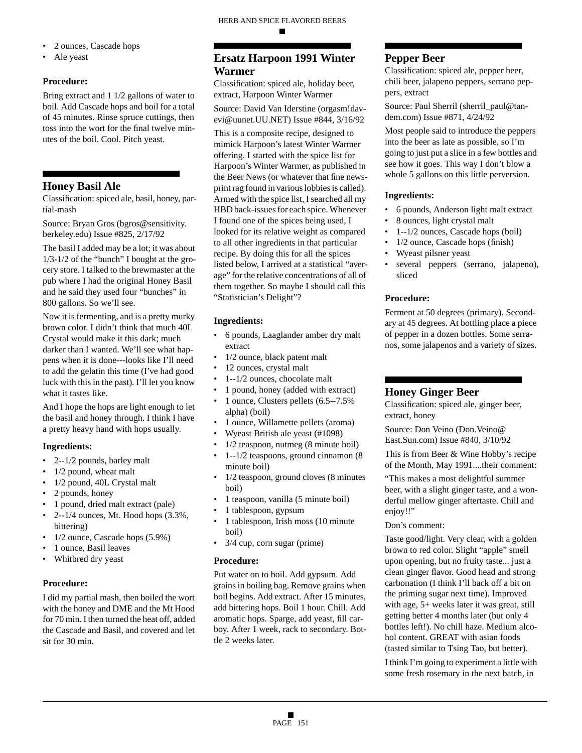- 2 ounces, Cascade hops
- Ale yeast

# **Procedure:**

Bring extract and 1 1/2 gallons of water to boil. Add Cascade hops and boil for a total of 45 minutes. Rinse spruce cuttings, then toss into the wort for the final twelve minutes of the boil. Cool. Pitch yeast.

# **Honey Basil Ale**

Classification: spiced ale, basil, honey, partial-mash

Source: Bryan Gros (bgros@sensitivity. berkeley.edu) Issue #825, 2/17/92

The basil I added may be a lot; it was about 1/3-1/2 of the "bunch" I bought at the grocery store. I talked to the brewmaster at the pub where I had the original Honey Basil and he said they used four "bunches" in 800 gallons. So we'll see.

Now it is fermenting, and is a pretty murky brown color. I didn't think that much 40L Crystal would make it this dark; much darker than I wanted. We'll see what happens when it is done---looks like I'll need to add the gelatin this time (I've had good luck with this in the past). I'll let you know what it tastes like.

And I hope the hops are light enough to let the basil and honey through. I think I have a pretty heavy hand with hops usually.

# **Ingredients:**

- 2--1/2 pounds, barley malt
- 1/2 pound, wheat malt
- 1/2 pound, 40L Crystal malt
- 2 pounds, honey
- 1 pound, dried malt extract (pale)
- 2--1/4 ounces, Mt. Hood hops  $(3.3\%,$ bittering)
- 1/2 ounce, Cascade hops (5.9%)
- 1 ounce, Basil leaves
- Whitbred dry yeast

# **Procedure:**

I did my partial mash, then boiled the wort with the honey and DME and the Mt Hood for 70 min. I then turned the heat off, added the Cascade and Basil, and covered and let sit for 30 min.

# **Ersatz Harpoon 1991 Winter Warmer**

Classification: spiced ale, holiday beer, extract, Harpoon Winter Warmer

Source: David Van Iderstine (orgasm!davevi@uunet.UU.NET) Issue #844, 3/16/92

This is a composite recipe, designed to mimick Harpoon's latest Winter Warmer offering. I started with the spice list for Harpoon's Winter Warmer, as published in the Beer News (or whatever that fine newsprint rag found in various lobbies is called). Armed with the spice list, I searched all my HBD back-issues for each spice. Whenever I found one of the spices being used, I looked for its relative weight as compared to all other ingredients in that particular recipe. By doing this for all the spices listed below, I arrived at a statistical "average" for the relative concentrations of all of them together. So maybe I should call this "Statistician's Delight"?

# **Ingredients:**

- 6 pounds, Laaglander amber dry malt extract
- 1/2 ounce, black patent malt
- 12 ounces, crystal malt
- 1--1/2 ounces, chocolate malt
- 1 pound, honey (added with extract) • 1 ounce, Clusters pellets (6.5--7.5%
- alpha) (boil)
- 1 ounce, Willamette pellets (aroma)
- Wyeast British ale yeast (#1098)
- 1/2 teaspoon, nutmeg (8 minute boil)
- 1--1/2 teaspoons, ground cinnamon (8) minute boil)
- 1/2 teaspoon, ground cloves (8 minutes boil)
- 1 teaspoon, vanilla (5 minute boil)
- 1 tablespoon, gypsum
- 1 tablespoon, Irish moss (10 minute boil)
- 3/4 cup, corn sugar (prime)

# **Procedure:**

Put water on to boil. Add gypsum. Add grains in boiling bag. Remove grains when boil begins. Add extract. After 15 minutes, add bittering hops. Boil 1 hour. Chill. Add aromatic hops. Sparge, add yeast, fill carboy. After 1 week, rack to secondary. Bottle 2 weeks later.

# **Pepper Beer**

Classification: spiced ale, pepper beer, chili beer, jalapeno peppers, serrano peppers, extract

Source: Paul Sherril (sherril\_paul@tandem.com) Issue #871, 4/24/92

Most people said to introduce the peppers into the beer as late as possible, so I'm going to just put a slice in a few bottles and see how it goes. This way I don't blow a whole 5 gallons on this little perversion.

# **Ingredients:**

- 6 pounds, Anderson light malt extract
- 8 ounces, light crystal malt
- 1--1/2 ounces, Cascade hops (boil)
- 1/2 ounce, Cascade hops (finish)
- Wyeast pilsner yeast
- several peppers (serrano, jalapeno), sliced

# **Procedure:**

Ferment at 50 degrees (primary). Secondary at 45 degrees. At bottling place a piece of pepper in a dozen bottles. Some serranos, some jalapenos and a variety of sizes.

# **Honey Ginger Beer**

Classification: spiced ale, ginger beer, extract, honey

Source: Don Veino (Don.Veino@ East.Sun.com) Issue #840, 3/10/92

This is from Beer & Wine Hobby's recipe of the Month, May 1991....their comment:

"This makes a most delightful summer beer, with a slight ginger taste, and a wonderful mellow ginger aftertaste. Chill and enjoy!!"

# Don's comment:

Taste good/light. Very clear, with a golden brown to red color. Slight "apple" smell upon opening, but no fruity taste... just a clean ginger flavor. Good head and strong carbonation (I think I'll back off a bit on the priming sugar next time). Improved with age, 5+ weeks later it was great, still getting better 4 months later (but only 4 bottles left!). No chill haze. Medium alcohol content. GREAT with asian foods (tasted similar to Tsing Tao, but better).

I think I'm going to experiment a little with some fresh rosemary in the next batch, in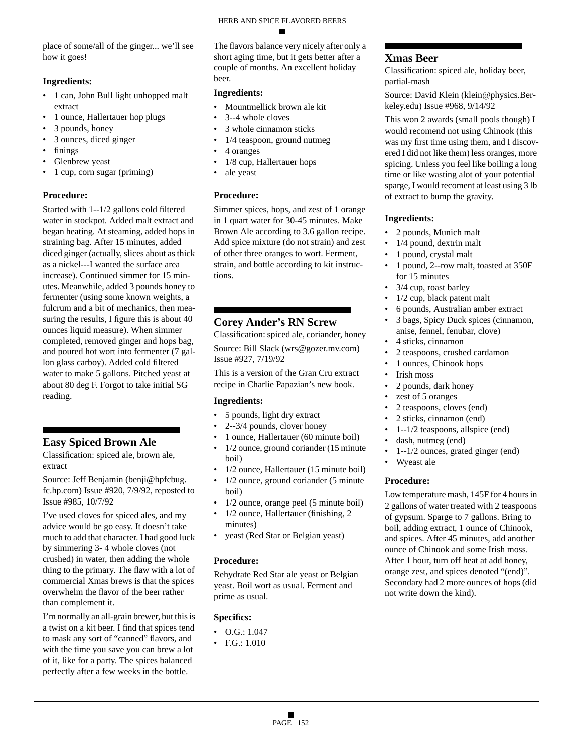#### HERB AND SPICE FLAVORED BEERS

place of some/all of the ginger... we'll see how it goes!

#### **Ingredients:**

- 1 can, John Bull light unhopped malt extract
- 1 ounce, Hallertauer hop plugs
- 3 pounds, honey
- 3 ounces, diced ginger
- finings
- Glenbrew yeast
- 1 cup, corn sugar (priming)

# **Procedure:**

Started with 1--1/2 gallons cold filtered water in stockpot. Added malt extract and began heating. At steaming, added hops in straining bag. After 15 minutes, added diced ginger (actually, slices about as thick as a nickel---I wanted the surface area increase). Continued simmer for 15 minutes. Meanwhile, added 3 pounds honey to fermenter (using some known weights, a fulcrum and a bit of mechanics, then measuring the results, I figure this is about 40 ounces liquid measure). When simmer completed, removed ginger and hops bag, and poured hot wort into fermenter (7 gallon glass carboy). Added cold filtered water to make 5 gallons. Pitched yeast at about 80 deg F. Forgot to take initial SG reading.

# **Easy Spiced Brown Ale**

Classification: spiced ale, brown ale, extract

Source: Jeff Benjamin (benji@hpfcbug. fc.hp.com) Issue #920, 7/9/92, reposted to Issue #985, 10/7/92

I've used cloves for spiced ales, and my advice would be go easy. It doesn't take much to add that character. I had good luck by simmering 3- 4 whole cloves (not crushed) in water, then adding the whole thing to the primary. The flaw with a lot of commercial Xmas brews is that the spices overwhelm the flavor of the beer rather than complement it.

I'm normally an all-grain brewer, but this is a twist on a kit beer. I find that spices tend to mask any sort of "canned" flavors, and with the time you save you can brew a lot of it, like for a party. The spices balanced perfectly after a few weeks in the bottle.

The flavors balance very nicely after only a short aging time, but it gets better after a couple of months. An excellent holiday beer.

#### **Ingredients:**

- Mountmellick brown ale kit
- 3--4 whole cloves
- 3 whole cinnamon sticks
- 1/4 teaspoon, ground nutmeg
- 4 oranges
- 1/8 cup, Hallertauer hops
- ale yeast

# **Procedure:**

Simmer spices, hops, and zest of 1 orange in 1 quart water for 30-45 minutes. Make Brown Ale according to 3.6 gallon recipe. Add spice mixture (do not strain) and zest of other three oranges to wort. Ferment, strain, and bottle according to kit instructions.

# **Corey Ander's RN Screw**

Classification: spiced ale, coriander, honey Source: Bill Slack (wrs@gozer.mv.com) Issue #927, 7/19/92

This is a version of the Gran Cru extract recipe in Charlie Papazian's new book.

# **Ingredients:**

- 5 pounds, light dry extract
- 2--3/4 pounds, clover honey
- 1 ounce, Hallertauer (60 minute boil)
- 1/2 ounce, ground coriander (15 minute) boil)
- 1/2 ounce, Hallertauer (15 minute boil)
- 1/2 ounce, ground coriander (5 minute boil)
- 1/2 ounce, orange peel (5 minute boil)
- 1/2 ounce, Hallertauer (finishing, 2) minutes)
- yeast (Red Star or Belgian yeast)

# **Procedure:**

Rehydrate Red Star ale yeast or Belgian yeast. Boil wort as usual. Ferment and prime as usual.

# **Specifics:**

- O.G.: 1.047
- F.G.: 1.010

# **Xmas Beer**

Classification: spiced ale, holiday beer, partial-mash

Source: David Klein (klein@physics.Berkeley.edu) Issue #968, 9/14/92

This won 2 awards (small pools though) I would recomend not using Chinook (this was my first time using them, and I discovered I did not like them) less oranges, more spicing. Unless you feel like boiling a long time or like wasting alot of your potential sparge, I would recoment at least using 3 lb of extract to bump the gravity.

# **Ingredients:**

- 2 pounds, Munich malt
- 1/4 pound, dextrin malt
- 1 pound, crystal malt
- 1 pound, 2--row malt, toasted at 350F for 15 minutes
- 3/4 cup, roast barley
- 1/2 cup, black patent malt
- 6 pounds, Australian amber extract
- 3 bags, Spicy Duck spices (cinnamon, anise, fennel, fenubar, clove)
- 4 sticks, cinnamon
- 2 teaspoons, crushed cardamon
- 1 ounces, Chinook hops
- Irish moss
- 2 pounds, dark honey
- zest of 5 oranges
- 2 teaspoons, cloves (end)
- 2 sticks, cinnamon (end)
- 1--1/2 teaspoons, allspice (end)
- dash, nutmeg (end)
- 1--1/2 ounces, grated ginger (end)
- Wyeast ale

# **Procedure:**

Low temperature mash, 145F for 4 hours in 2 gallons of water treated with 2 teaspoons of gypsum. Sparge to 7 gallons. Bring to boil, adding extract, 1 ounce of Chinook, and spices. After 45 minutes, add another ounce of Chinook and some Irish moss. After 1 hour, turn off heat at add honey, orange zest, and spices denoted "(end)". Secondary had 2 more ounces of hops (did not write down the kind).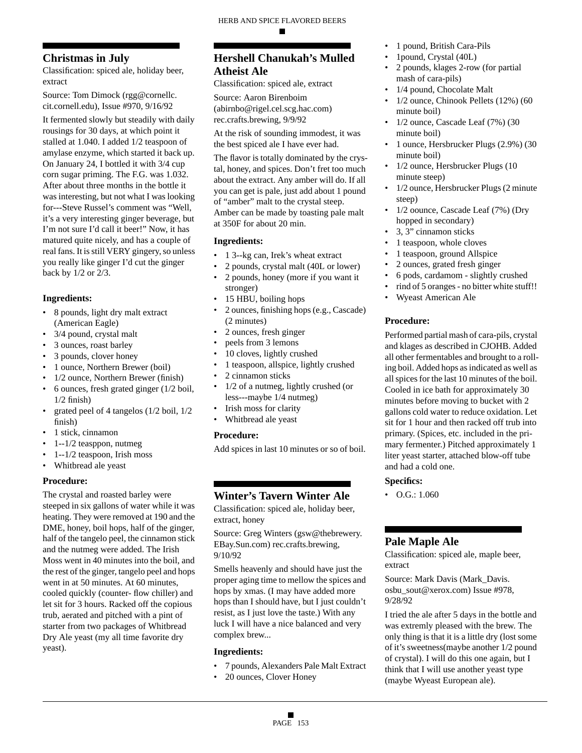# **Christmas in July**

Classification: spiced ale, holiday beer, extract

Source: Tom Dimock (rgg@cornellc. cit.cornell.edu), Issue #970, 9/16/92

It fermented slowly but steadily with daily rousings for 30 days, at which point it stalled at 1.040. I added 1/2 teaspoon of amylase enzyme, which started it back up. On January 24, I bottled it with 3/4 cup corn sugar priming. The F.G. was 1.032. After about three months in the bottle it was interesting, but not what I was looking for---Steve Russel's comment was "Well, it's a very interesting ginger beverage, but I'm not sure I'd call it beer!" Now, it has matured quite nicely, and has a couple of real fans. It is still VERY gingery, so unless you really like ginger I'd cut the ginger back by 1/2 or 2/3.

# **Ingredients:**

- 8 pounds, light dry malt extract (American Eagle)
- 3/4 pound, crystal malt
- 3 ounces, roast barley
- 3 pounds, clover honey
- 1 ounce, Northern Brewer (boil)
- 1/2 ounce, Northern Brewer (finish)
- 6 ounces, fresh grated ginger (1/2 boil,  $1/2$  finish)
- grated peel of 4 tangelos (1/2 boil, 1/2 finish)
- 1 stick, cinnamon
- $\bullet$  1--1/2 teasppon, nutmeg
- 1--1/2 teaspoon, Irish moss
- Whitbread ale yeast

# **Procedure:**

The crystal and roasted barley were steeped in six gallons of water while it was heating. They were removed at 190 and the DME, honey, boil hops, half of the ginger, half of the tangelo peel, the cinnamon stick and the nutmeg were added. The Irish Moss went in 40 minutes into the boil, and the rest of the ginger, tangelo peel and hops went in at 50 minutes. At 60 minutes, cooled quickly (counter- flow chiller) and let sit for 3 hours. Racked off the copious trub, aerated and pitched with a pint of starter from two packages of Whitbread Dry Ale yeast (my all time favorite dry yeast).

# **Hershell Chanukah's Mulled Atheist Ale**

Classification: spiced ale, extract

Source: Aaron Birenboim (abirnbo@rigel.cel.scg.hac.com) rec.crafts.brewing, 9/9/92

At the risk of sounding immodest, it was the best spiced ale I have ever had.

The flavor is totally dominated by the crystal, honey, and spices. Don't fret too much about the extract. Any amber will do. If all you can get is pale, just add about 1 pound of "amber" malt to the crystal steep. Amber can be made by toasting pale malt at 350F for about 20 min.

# **Ingredients:**

- 1 3--kg can, Irek's wheat extract
- 2 pounds, crystal malt (40L or lower)
- 2 pounds, honey (more if you want it stronger)
- 15 HBU, boiling hops
- 2 ounces, finishing hops (e.g., Cascade) (2 minutes)
- 2 ounces, fresh ginger
- peels from 3 lemons
- 10 cloves, lightly crushed
- 1 teaspoon, allspice, lightly crushed
- 2 cinnamon sticks
- 1/2 of a nutmeg, lightly crushed (or less---maybe 1/4 nutmeg)
- Irish moss for clarity
- Whitbread ale yeast

# **Procedure:**

Add spices in last 10 minutes or so of boil.

# **Winter's Tavern Winter Ale**

Classification: spiced ale, holiday beer, extract, honey

Source: Greg Winters (gsw@thebrewery. EBay.Sun.com) rec.crafts.brewing, 9/10/92

Smells heavenly and should have just the proper aging time to mellow the spices and hops by xmas. (I may have added more hops than I should have, but I just couldn't resist, as I just love the taste.) With any luck I will have a nice balanced and very complex brew...

# **Ingredients:**

- 7 pounds, Alexanders Pale Malt Extract
- 20 ounces, Clover Honey
- 1 pound, British Cara-Pils
- 1pound, Crystal (40L)
- 2 pounds, klages 2-row (for partial mash of cara-pils)
- 1/4 pound, Chocolate Malt
- 1/2 ounce, Chinook Pellets (12%) (60 minute boil)
- 1/2 ounce, Cascade Leaf (7%) (30 minute boil)
- 1 ounce, Hersbrucker Plugs (2.9%) (30 minute boil)
- 1/2 ounce, Hersbrucker Plugs (10 minute steep)
- 1/2 ounce, Hersbrucker Plugs (2 minute steep)
- 1/2 oounce, Cascade Leaf (7%) (Dry hopped in secondary)
- 3, 3" cinnamon sticks
- 1 teaspoon, whole cloves
- 1 teaspoon, ground Allspice
- 2 ounces, grated fresh ginger
- 6 pods, cardamom slightly crushed
- rind of 5 oranges no bitter white stuff!!
- Wyeast American Ale

# **Procedure:**

Performed partial mash of cara-pils, crystal and klages as described in CJOHB. Added all other fermentables and brought to a rolling boil. Added hops as indicated as well as all spices for the last 10 minutes of the boil. Cooled in ice bath for approximately 30 minutes before moving to bucket with 2 gallons cold water to reduce oxidation. Let sit for 1 hour and then racked off trub into primary. (Spices, etc. included in the primary fermenter.) Pitched approximately 1 liter yeast starter, attached blow-off tube and had a cold one.

# **Specifics:**

• O.G.: 1.060

# **Pale Maple Ale**

Classification: spiced ale, maple beer, extract

Source: Mark Davis (Mark\_Davis. osbu\_sout@xerox.com) Issue #978, 9/28/92

I tried the ale after 5 days in the bottle and was extremly pleased with the brew. The only thing is that it is a little dry (lost some of it's sweetness(maybe another 1/2 pound of crystal). I will do this one again, but I think that I will use another yeast type (maybe Wyeast European ale).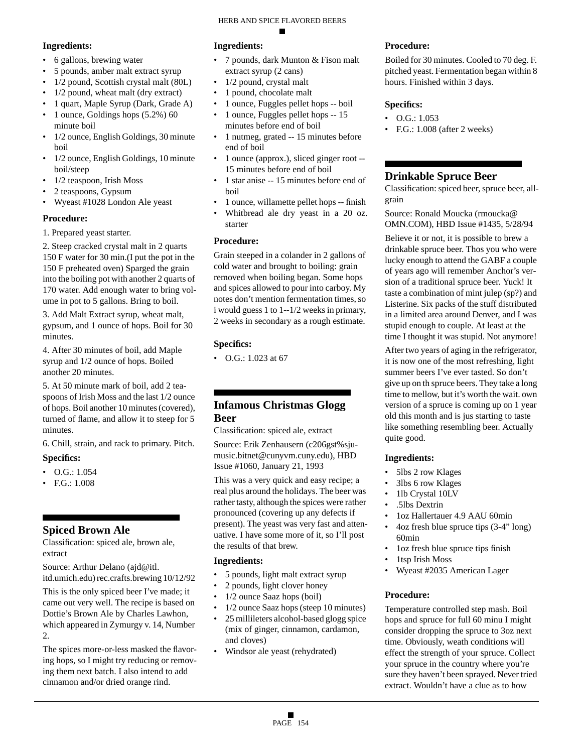#### HERB AND SPICE FLAVORED BEERS

# **Ingredients:**

- 6 gallons, brewing water
- 5 pounds, amber malt extract syrup
- 1/2 pound, Scottish crystal malt (80L)
- 1/2 pound, wheat malt (dry extract)
- 1 quart, Maple Syrup (Dark, Grade A)
- 1 ounce, Goldings hops (5.2%) 60 minute boil
- 1/2 ounce, English Goldings, 30 minute boil
- 1/2 ounce, English Goldings, 10 minute boil/steep
- 1/2 teaspoon, Irish Moss
- 2 teaspoons, Gypsum
- Wyeast #1028 London Ale yeast

#### **Procedure:**

#### 1. Prepared yeast starter.

2. Steep cracked crystal malt in 2 quarts 150 F water for 30 min.(I put the pot in the 150 F preheated oven) Sparged the grain into the boiling pot with another 2 quarts of 170 water. Add enough water to bring volume in pot to 5 gallons. Bring to boil.

3. Add Malt Extract syrup, wheat malt, gypsum, and 1 ounce of hops. Boil for 30 minutes.

4. After 30 minutes of boil, add Maple syrup and 1/2 ounce of hops. Boiled another 20 minutes.

5. At 50 minute mark of boil, add 2 teaspoons of Irish Moss and the last 1/2 ounce of hops. Boil another 10 minutes (covered), turned of flame, and allow it to steep for 5 minutes.

6. Chill, strain, and rack to primary. Pitch.

# **Specifics:**

- O.G.: 1.054
- F.G.: 1.008

# **Spiced Brown Ale**

Classification: spiced ale, brown ale, extract

Source: Arthur Delano (ajd@itl. itd.umich.edu) rec.crafts.brewing 10/12/92

This is the only spiced beer I've made; it came out very well. The recipe is based on Dottie's Brown Ale by Charles Lawhon, which appeared in Zymurgy v. 14, Number 2.

The spices more-or-less masked the flavoring hops, so I might try reducing or removing them next batch. I also intend to add cinnamon and/or dried orange rind.

#### **Ingredients:**

- 7 pounds, dark Munton & Fison malt extract syrup (2 cans)
- 1/2 pound, crystal malt
- 1 pound, chocolate malt
- 1 ounce, Fuggles pellet hops -- boil
- 1 ounce, Fuggles pellet hops -- 15 minutes before end of boil
- 1 nutmeg, grated -- 15 minutes before end of boil
- 1 ounce (approx.), sliced ginger root -- 15 minutes before end of boil
- 1 star anise -- 15 minutes before end of boil
- 1 ounce, willamette pellet hops -- finish
- Whitbread ale dry yeast in a 20 oz. starter

# **Procedure:**

Grain steeped in a colander in 2 gallons of cold water and brought to boiling: grain removed when boiling began. Some hops and spices allowed to pour into carboy. My notes don't mention fermentation times, so i would guess 1 to 1--1/2 weeks in primary, 2 weeks in secondary as a rough estimate.

# **Specifics:**

• O.G.: 1.023 at 67

# **Infamous Christmas Glogg Beer**

Classification: spiced ale, extract

Source: Erik Zenhausern (c206gst%sjumusic.bitnet@cunyvm.cuny.edu), HBD Issue #1060, January 21, 1993

This was a very quick and easy recipe; a real plus around the holidays. The beer was rather tasty, although the spices were rather pronounced (covering up any defects if present). The yeast was very fast and attenuative. I have some more of it, so I'll post the results of that brew.

# **Ingredients:**

- 5 pounds, light malt extract syrup
- 2 pounds, light clover honey
- 1/2 ounce Saaz hops (boil)
- 1/2 ounce Saaz hops (steep 10 minutes) • 25 millileters alcohol-based glogg spice (mix of ginger, cinnamon, cardamon,
- and cloves) • Windsor ale yeast (rehydrated)

#### **Procedure:**

Boiled for 30 minutes. Cooled to 70 deg. F. pitched yeast. Fermentation began within 8 hours. Finished within 3 days.

#### **Specifics:**

- $O.G.: 1.053$
- F.G.: 1.008 (after 2 weeks)

# **Drinkable Spruce Beer**

Classification: spiced beer, spruce beer, allgrain

Source: Ronald Moucka (rmoucka@ OMN.COM), HBD Issue #1435, 5/28/94

Believe it or not, it is possible to brew a drinkable spruce beer. Thos you who were lucky enough to attend the GABF a couple of years ago will remember Anchor's version of a traditional spruce beer. Yuck! It taste a combination of mint julep (sp?) and Listerine. Six packs of the stuff distributed in a limited area around Denver, and I was stupid enough to couple. At least at the time I thought it was stupid. Not anymore!

After two years of aging in the refrigerator, it is now one of the most refreshing, light summer beers I've ever tasted. So don't give up on th spruce beers. They take a long time to mellow, but it's worth the wait. own version of a spruce is coming up on 1 year old this month and is jus starting to taste like something resembling beer. Actually quite good.

# **Ingredients:**

- 5lbs 2 row Klages
- 3lbs 6 row Klages
- 1lb Crystal 10LV
- .5lbs Dextrin
- 1oz Hallertauer 4.9 AAU 60min
- 4oz fresh blue spruce tips (3-4" long) 60min
- 1oz fresh blue spruce tips finish
- 1tsp Irish Moss
- Wyeast #2035 American Lager

# **Procedure:**

Temperature controlled step mash. Boil hops and spruce for full 60 minu I might consider dropping the spruce to 3oz next time. Obviously, weath conditions will effect the strength of your spruce. Collect your spruce in the country where you're sure they haven't been sprayed. Never tried extract. Wouldn't have a clue as to how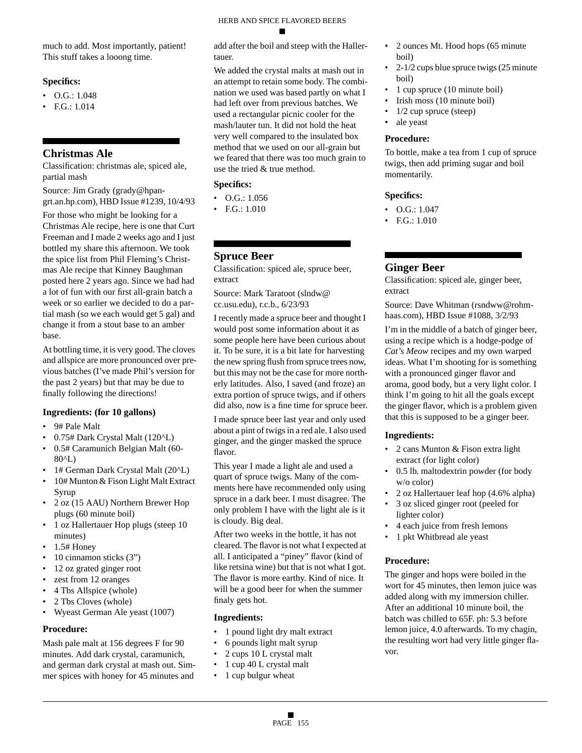much to add. Most importantly, patient! This stuff takes a looong time.

#### **Specifics:**

- O.G.: 1.048
- F.G.: 1.014

# **Christmas Ale**

Classification: christmas ale, spiced ale, partial mash

Source: Jim Grady (grady@hpangrt.an.hp.com), HBD Issue #1239, 10/4/93

For those who might be looking for a Christmas Ale recipe, here is one that Curt Freeman and I made 2 weeks ago and I just bottled my share this afternoon. We took the spice list from Phil Fleming's Christmas Ale recipe that Kinney Baughman posted here 2 years ago. Since we had had a lot of fun with our first all-grain batch a week or so earlier we decided to do a partial mash (so we each would get 5 gal) and change it from a stout base to an amber base.

At bottling time, it is very good. The cloves and allspice are more pronounced over previous batches (I've made Phil's version for the past 2 years) but that may be due to finally following the directions!

#### **Ingredients: (for 10 gallons)**

- 9# Pale Malt
- 0.75# Dark Crystal Malt (120^L)
- 0.5# Caramunich Belgian Malt (60- 80^L)
- 1# German Dark Crystal Malt (20^L)
- 10# Munton & Fison Light Malt Extract Syrup
- 2 oz (15 AAU) Northern Brewer Hop plugs (60 minute boil)
- 1 oz Hallertauer Hop plugs (steep 10 minutes)
- $\cdot$  1.5# Honey
- 10 cinnamon sticks (3")
- 12 oz grated ginger root
- zest from 12 oranges
- 4 Tbs Allspice (whole)
- 2 Tbs Cloves (whole)
- Wyeast German Ale yeast (1007)

#### **Procedure:**

Mash pale malt at 156 degrees F for 90 minutes. Add dark crystal, caramunich, and german dark crystal at mash out. Simmer spices with honey for 45 minutes and

add after the boil and steep with the Hallertauer.

We added the crystal malts at mash out in an attempt to retain some body. The combination we used was based partly on what I had left over from previous batches. We used a rectangular picnic cooler for the mash/lauter tun. It did not hold the heat very well compared to the insulated box method that we used on our all-grain but we feared that there was too much grain to use the tried & true method.

#### **Specifics:**

- O.G.: 1.056
- F.G.: 1.010

# **Spruce Beer**

Classification: spiced ale, spruce beer, extract

Source: Mark Taratoot (slndw@ cc.usu.edu), r.c.b., 6/23/93

I recently made a spruce beer and thought I would post some information about it as some people here have been curious about it. To be sure, it is a bit late for harvesting the new spring flush from spruce trees now, but this may not be the case for more northerly latitudes. Also, I saved (and froze) an extra portion of spruce twigs, and if others did also, now is a fine time for spruce beer.

I made spruce beer last year and only used about a pint of twigs in a red ale. I also used ginger, and the ginger masked the spruce flavor.

This year I made a light ale and used a quart of spruce twigs. Many of the comments here have recommended only using spruce in a dark beer. I must disagree. The only problem I have with the light ale is it is cloudy. Big deal.

After two weeks in the bottle, it has not cleared. The flavor is not what I expected at all. I anticipated a "piney" flavor (kind of like retsina wine) but that is not what I got. The flavor is more earthy. Kind of nice. It will be a good beer for when the summer finaly gets hot.

#### **Ingredients:**

- 1 pound light dry malt extract
- 6 pounds light malt syrup
- 2 cups 10 L crystal malt
- 1 cup 40 L crystal malt
- 1 cup bulgur wheat
- 2 ounces Mt. Hood hops (65 minute) boil)
- 2-1/2 cups blue spruce twigs (25 minute boil)
- 1 cup spruce (10 minute boil)
- Irish moss (10 minute boil)
- $1/2$  cup spruce (steep)
- ale yeast

#### **Procedure:**

To bottle, make a tea from 1 cup of spruce twigs, then add priming sugar and boil momentarily.

#### **Specifics:**

- O.G.: 1.047
- F.G.: 1.010

# **Ginger Beer**

Classification: spiced ale, ginger beer, extract

Source: Dave Whitman (rsndww@rohmhaas.com), HBD Issue #1088, 3/2/93

I'm in the middle of a batch of ginger beer, using a recipe which is a hodge-podge of *Cat's Meow* recipes and my own warped ideas. What I'm shooting for is something with a pronounced ginger flavor and aroma, good body, but a very light color. I think I'm going to hit all the goals except the ginger flavor, which is a problem given that this is supposed to be a ginger beer.

#### **Ingredients:**

- 2 cans Munton & Fison extra light extract (for light color)
- 0.5 lb. maltodextrin powder (for body w/o color)
- 2 oz Hallertauer leaf hop (4.6% alpha)
- 3 oz sliced ginger root (peeled for lighter color)
- 4 each juice from fresh lemons
- 1 pkt Whitbread ale yeast

#### **Procedure:**

The ginger and hops were boiled in the wort for 45 minutes, then lemon juice was added along with my immersion chiller. After an additional 10 minute boil, the batch was chilled to 65F. ph: 5.3 before lemon juice, 4.0 afterwards. To my chagin, the resulting wort had very little ginger flavor.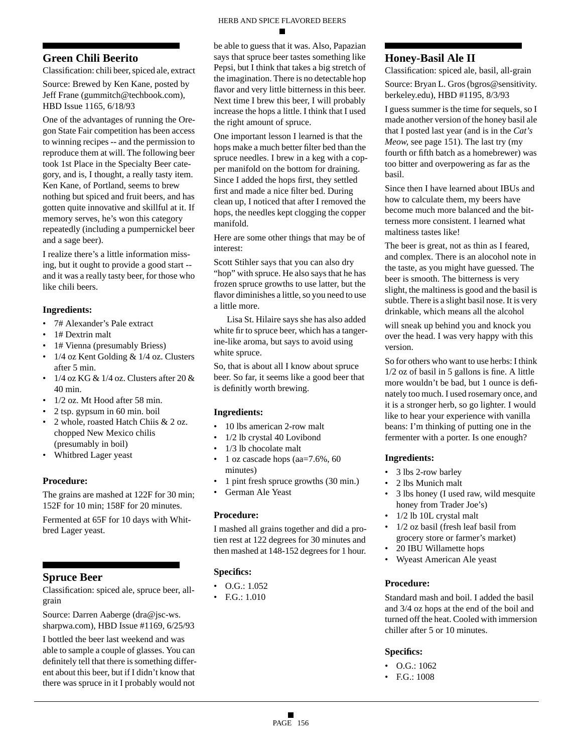# **Green Chili Beerito**

Classification: chili beer, spiced ale, extract

Source: Brewed by Ken Kane, posted by Jeff Frane (gummitch@techbook.com), HBD Issue 1165, 6/18/93

One of the advantages of running the Oregon State Fair competition has been access to winning recipes -- and the permission to reproduce them at will. The following beer took 1st Place in the Specialty Beer category, and is, I thought, a really tasty item. Ken Kane, of Portland, seems to brew nothing but spiced and fruit beers, and has gotten quite innovative and skillful at it. If memory serves, he's won this category repeatedly (including a pumpernickel beer and a sage beer).

I realize there's a little information missing, but it ought to provide a good start - and it was a really tasty beer, for those who like chili beers.

# **Ingredients:**

- 7# Alexander's Pale extract
- 1# Dextrin malt
- 1# Vienna (presumably Briess)
- 1/4 oz Kent Golding & 1/4 oz. Clusters after 5 min.
- $1/4$  oz KG &  $1/4$  oz. Clusters after 20 & 40 min.
- 1/2 oz. Mt Hood after 58 min.
- 2 tsp. gypsum in 60 min. boil
- 2 whole, roasted Hatch Chiis & 2 oz. chopped New Mexico chilis (presumably in boil)
- Whitbred Lager yeast

# **Procedure:**

The grains are mashed at 122F for 30 min; 152F for 10 min; 158F for 20 minutes.

Fermented at 65F for 10 days with Whitbred Lager yeast.

# **Spruce Beer**

Classification: spiced ale, spruce beer, allgrain

Source: Darren Aaberge (dra@jsc-ws. sharpwa.com), HBD Issue #1169, 6/25/93

I bottled the beer last weekend and was able to sample a couple of glasses. You can definitely tell that there is something different about this beer, but if I didn't know that there was spruce in it I probably would not

be able to guess that it was. Also, Papazian says that spruce beer tastes something like Pepsi, but I think that takes a big stretch of the imagination. There is no detectable hop flavor and very little bitterness in this beer. Next time I brew this beer, I will probably increase the hops a little. I think that I used the right amount of spruce.

One important lesson I learned is that the hops make a much better filter bed than the spruce needles. I brew in a keg with a copper manifold on the bottom for draining. Since I added the hops first, they settled first and made a nice filter bed. During clean up, I noticed that after I removed the hops, the needles kept clogging the copper manifold.

Here are some other things that may be of interest:

Scott Stihler says that you can also dry "hop" with spruce. He also says that he has frozen spruce growths to use latter, but the flavor diminishes a little, so you need to use a little more.

 Lisa St. Hilaire says she has also added white fir to spruce beer, which has a tangerine-like aroma, but says to avoid using white spruce.

So, that is about all I know about spruce beer. So far, it seems like a good beer that is definitly worth brewing.

# **Ingredients:**

- 10 lbs american 2-row malt
- 1/2 lb crystal 40 Lovibond
- 1/3 lb chocolate malt
- 1 oz cascade hops (aa= $7.6\%$ , 60 minutes)
- 1 pint fresh spruce growths (30 min.)
- German Ale Yeast

# **Procedure:**

I mashed all grains together and did a protien rest at 122 degrees for 30 minutes and then mashed at 148-152 degrees for 1 hour.

# **Specifics:**

- O.G.: 1.052
- F.G.: 1.010

# **Honey-Basil Ale II**

Classification: spiced ale, basil, all-grain Source: Bryan L. Gros (bgros@sensitivity. berkeley.edu), HBD #1195, 8/3/93

I guess summer is the time for sequels, so I made another version of the honey basil ale that I posted last year (and is in the *Cat's Meow*, see page 151). The last try (my fourth or fifth batch as a homebrewer) was too bitter and overpowering as far as the basil.

Since then I have learned about IBUs and how to calculate them, my beers have become much more balanced and the bitterness more consistent. I learned what maltiness tastes like!

The beer is great, not as thin as I feared, and complex. There is an alocohol note in the taste, as you might have guessed. The beer is smooth. The bitterness is very slight, the maltiness is good and the basil is subtle. There is a slight basil nose. It is very drinkable, which means all the alcohol

will sneak up behind you and knock you over the head. I was very happy with this version.

So for others who want to use herbs: I think 1/2 oz of basil in 5 gallons is fine. A little more wouldn't be bad, but 1 ounce is definately too much. I used rosemary once, and it is a stronger herb, so go lighter. I would like to hear your experience with vanilla beans: I'm thinking of putting one in the fermenter with a porter. Is one enough?

# **Ingredients:**

- 3 lbs 2-row barley
- 2 lbs Munich malt
- 3 lbs honey (I used raw, wild mesquite honey from Trader Joe's)
- 1/2 lb 10L crystal malt
- 1/2 oz basil (fresh leaf basil from grocery store or farmer's market)
- 20 IBU Willamette hops
- Wyeast American Ale yeast

# **Procedure:**

Standard mash and boil. I added the basil and 3/4 oz hops at the end of the boil and turned off the heat. Cooled with immersion chiller after 5 or 10 minutes.

# **Specifics:**

- O.G.:  $1062$
- F.G.: 1008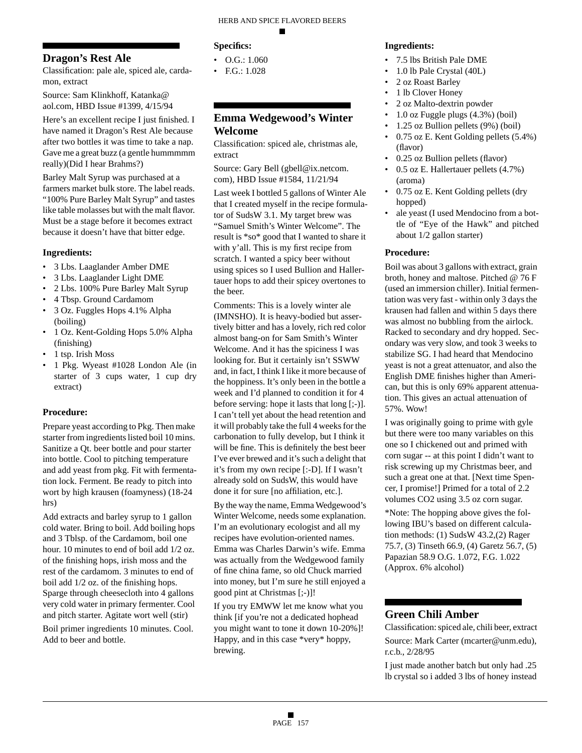# **Specifics:**

# **Dragon's Rest Ale**

Classification: pale ale, spiced ale, cardamon, extract

Source: Sam Klinkhoff, Katanka@ aol.com, HBD Issue #1399, 4/15/94

Here's an excellent recipe I just finished. I have named it Dragon's Rest Ale because after two bottles it was time to take a nap. Gave me a great buzz (a gentle hummmmm really)(Did I hear Brahms?)

Barley Malt Syrup was purchased at a farmers market bulk store. The label reads. "100% Pure Barley Malt Syrup" and tastes like table molasses but with the malt flavor. Must be a stage before it becomes extract because it doesn't have that bitter edge.

#### **Ingredients:**

- 3 Lbs. Laaglander Amber DME
- 3 Lbs. Laaglander Light DME
- 2 Lbs. 100% Pure Barley Malt Syrup
- 4 Tbsp. Ground Cardamom
- 3 Oz. Fuggles Hops 4.1% Alpha (boiling)
- 1 Oz. Kent-Golding Hops 5.0% Alpha (finishing)
- 1 tsp. Irish Moss
- 1 Pkg. Wyeast #1028 London Ale (in starter of 3 cups water, 1 cup dry extract)

# **Procedure:**

Prepare yeast according to Pkg. Then make starter from ingredients listed boil 10 mins. Sanitize a Qt. beer bottle and pour starter into bottle. Cool to pitching temperature and add yeast from pkg. Fit with fermentation lock. Ferment. Be ready to pitch into wort by high krausen (foamyness) (18-24 hrs)

Add extracts and barley syrup to 1 gallon cold water. Bring to boil. Add boiling hops and 3 Tblsp. of the Cardamom, boil one hour. 10 minutes to end of boil add 1/2 oz. of the finishing hops, irish moss and the rest of the cardamom. 3 minutes to end of boil add 1/2 oz. of the finishing hops. Sparge through cheesecloth into 4 gallons very cold water in primary fermenter. Cool and pitch starter. Agitate wort well (stir) Boil primer ingredients 10 minutes. Cool.

Add to beer and bottle.

# •  $O.G.: 1.060$

• F.G.: 1.028

# **Emma Wedgewood's Winter**

# **Welcome**

Classification: spiced ale, christmas ale, extract

Source: Gary Bell (gbell@ix.netcom. com), HBD Issue #1584, 11/21/94

Last week I bottled 5 gallons of Winter Ale that I created myself in the recipe formulator of SudsW 3.1. My target brew was "Samuel Smith's Winter Welcome". The result is \*so\* good that I wanted to share it with y'all. This is my first recipe from scratch. I wanted a spicy beer without using spices so I used Bullion and Hallertauer hops to add their spicey overtones to the beer.

Comments: This is a lovely winter ale (IMNSHO). It is heavy-bodied but assertively bitter and has a lovely, rich red color almost bang-on for Sam Smith's Winter Welcome. And it has the spiciness I was looking for. But it certainly isn't SSWW and, in fact, I think I like it more because of the hoppiness. It's only been in the bottle a week and I'd planned to condition it for 4 before serving: hope it lasts that long [;-)]. I can't tell yet about the head retention and it will probably take the full 4 weeks for the carbonation to fully develop, but I think it will be fine. This is definitely the best beer I've ever brewed and it's such a delight that it's from my own recipe [:-D]. If I wasn't already sold on SudsW, this would have done it for sure [no affiliation, etc.].

By the way the name, Emma Wedgewood's Winter Welcome, needs some explanation. I'm an evolutionary ecologist and all my recipes have evolution-oriented names. Emma was Charles Darwin's wife. Emma was actually from the Wedgewood family of fine china fame, so old Chuck married into money, but I'm sure he still enjoyed a good pint at Christmas [;-)]!

If you try EMWW let me know what you think [if you're not a dedicated hophead you might want to tone it down 10-20%]! Happy, and in this case \*very\* hoppy, brewing.

# **Ingredients:**

- 7.5 lbs British Pale DME
- 1.0 lb Pale Crystal (40L)
- 2 oz Roast Barley
- 1 lb Clover Honey
- 2 oz Malto-dextrin powder
- 1.0 oz Fuggle plugs  $(4.3\%)$  (boil)
- 1.25 oz Bullion pellets (9%) (boil)
- 0.75 oz E. Kent Golding pellets (5.4%) (flavor)
- 0.25 oz Bullion pellets (flavor)
- 0.5 oz E. Hallertauer pellets (4.7%) (aroma)
- 0.75 oz E. Kent Golding pellets (dry hopped)
- ale yeast (I used Mendocino from a bottle of "Eye of the Hawk" and pitched about 1/2 gallon starter)

# **Procedure:**

Boil was about 3 gallons with extract, grain broth, honey and maltose. Pitched @ 76 F (used an immersion chiller). Initial fermentation was very fast - within only 3 days the krausen had fallen and within 5 days there was almost no bubbling from the airlock. Racked to secondary and dry hopped. Secondary was very slow, and took 3 weeks to stabilize SG. I had heard that Mendocino yeast is not a great attenuator, and also the English DME finishes higher than American, but this is only 69% apparent attenuation. This gives an actual attenuation of 57%. Wow!

I was originally going to prime with gyle but there were too many variables on this one so I chickened out and primed with corn sugar -- at this point I didn't want to risk screwing up my Christmas beer, and such a great one at that. [Next time Spencer, I promise!] Primed for a total of 2.2 volumes CO2 using 3.5 oz corn sugar.

\*Note: The hopping above gives the following IBU's based on different calculation methods: (1) SudsW 43.2,(2) Rager 75.7, (3) Tinseth 66.9, (4) Garetz 56.7, (5) Papazian 58.9 O.G. 1.072, F.G. 1.022 (Approx. 6% alcohol)

# **Green Chili Amber**

Classification: spiced ale, chili beer, extract

Source: Mark Carter (mcarter@unm.edu), r.c.b., 2/28/95

I just made another batch but only had .25 lb crystal so i added 3 lbs of honey instead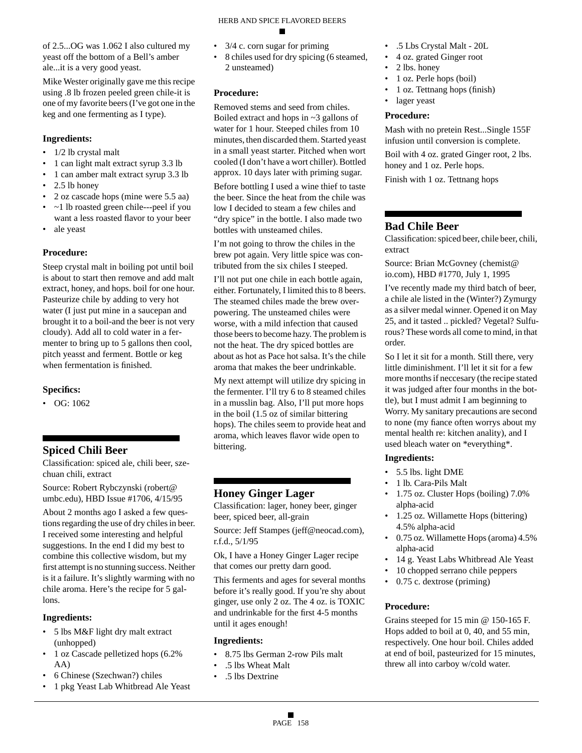of 2.5...OG was 1.062 I also cultured my yeast off the bottom of a Bell's amber ale...it is a very good yeast.

Mike Wester originally gave me this recipe using .8 lb frozen peeled green chile-it is one of my favorite beers (I've got one in the keg and one fermenting as I type).

# **Ingredients:**

- 1/2 lb crystal malt
- 1 can light malt extract syrup 3.3 lb
- 1 can amber malt extract syrup 3.3 lb
- 2.5 lb honey
- 2 oz cascade hops (mine were 5.5 aa)
- ~1 lb roasted green chile---peel if you want a less roasted flavor to your beer
- ale yeast

# **Procedure:**

Steep crystal malt in boiling pot until boil is about to start then remove and add malt extract, honey, and hops. boil for one hour. Pasteurize chile by adding to very hot water (I just put mine in a saucepan and brought it to a boil-and the beer is not very cloudy). Add all to cold water in a fermenter to bring up to 5 gallons then cool, pitch yeasst and ferment. Bottle or keg when fermentation is finished.

# **Specifics:**

 $\bullet$  OG: 1062

# **Spiced Chili Beer**

Classification: spiced ale, chili beer, szechuan chili, extract

Source: Robert Rybczynski (robert@ umbc.edu), HBD Issue #1706, 4/15/95

About 2 months ago I asked a few questions regarding the use of dry chiles in beer. I received some interesting and helpful suggestions. In the end I did my best to combine this collective wisdom, but my first attempt is no stunning success. Neither is it a failure. It's slightly warming with no chile aroma. Here's the recipe for 5 gallons.

# **Ingredients:**

- 5 lbs M&F light dry malt extract (unhopped)
- 1 oz Cascade pelletized hops (6.2% AA)
- 6 Chinese (Szechwan?) chiles
- 1 pkg Yeast Lab Whitbread Ale Yeast
- 3/4 c. corn sugar for priming
- 8 chiles used for dry spicing (6 steamed, 2 unsteamed)

# **Procedure:**

Removed stems and seed from chiles. Boiled extract and hops in ~3 gallons of water for 1 hour. Steeped chiles from 10 minutes, then discarded them. Started yeast in a small yeast starter. Pitched when wort cooled (I don't have a wort chiller). Bottled approx. 10 days later with priming sugar.

Before bottling I used a wine thief to taste the beer. Since the heat from the chile was low I decided to steam a few chiles and "dry spice" in the bottle. I also made two bottles with unsteamed chiles.

I'm not going to throw the chiles in the brew pot again. Very little spice was contributed from the six chiles I steeped.

I'll not put one chile in each bottle again, either. Fortunately, I limited this to 8 beers. The steamed chiles made the brew overpowering. The unsteamed chiles were worse, with a mild infection that caused those beers to become hazy. The problem is not the heat. The dry spiced bottles are about as hot as Pace hot salsa. It's the chile aroma that makes the beer undrinkable.

My next attempt will utilize dry spicing in the fermenter. I'll try 6 to 8 steamed chiles in a musslin bag. Also, I'll put more hops in the boil (1.5 oz of similar bittering hops). The chiles seem to provide heat and aroma, which leaves flavor wide open to bittering.

# **Honey Ginger Lager**

Classification: lager, honey beer, ginger beer, spiced beer, all-grain

Source: Jeff Stampes (jeff@neocad.com), r.f.d., 5/1/95

Ok, I have a Honey Ginger Lager recipe that comes our pretty darn good.

This ferments and ages for several months before it's really good. If you're shy about ginger, use only 2 oz. The 4 oz. is TOXIC and undrinkable for the first 4-5 months until it ages enough!

# **Ingredients:**

- 8.75 lbs German 2-row Pils malt
- .5 lbs Wheat Malt
- .5 lbs Dextrine
- .5 Lbs Crystal Malt 20L
- 4 oz. grated Ginger root
- 2 lbs. honey
- 1 oz. Perle hops (boil)
- 1 oz. Tettnang hops (finish)
- lager yeast

# **Procedure:**

Mash with no pretein Rest...Single 155F infusion until conversion is complete.

Boil with 4 oz. grated Ginger root, 2 lbs. honey and 1 oz. Perle hops.

Finish with 1 oz. Tettnang hops

# **Bad Chile Beer**

Classification: spiced beer, chile beer, chili, extract

Source: Brian McGovney (chemist@ io.com), HBD #1770, July 1, 1995

I've recently made my third batch of beer, a chile ale listed in the (Winter?) Zymurgy as a silver medal winner. Opened it on May 25, and it tasted .. pickled? Vegetal? Sulfurous? These words all come to mind, in that order.

So I let it sit for a month. Still there, very little diminishment. I'll let it sit for a few more months if neccesary (the recipe stated it was judged after four months in the bottle), but I must admit I am beginning to Worry. My sanitary precautions are second to none (my fiance often worrys about my mental health re: kitchen anality), and I used bleach water on \*everything\*.

# **Ingredients:**

- 5.5 lbs. light DME
- 1 lb. Cara-Pils Malt
- 1.75 oz. Cluster Hops (boiling) 7.0% alpha-acid
- 1.25 oz. Willamette Hops (bittering) 4.5% alpha-acid
- 0.75 oz. Willamette Hops (aroma) 4.5% alpha-acid
- 14 g. Yeast Labs Whitbread Ale Yeast
- 10 chopped serrano chile peppers
- 0.75 c. dextrose (priming)

# **Procedure:**

Grains steeped for 15 min @ 150-165 F. Hops added to boil at 0, 40, and 55 min, respectively. One hour boil. Chiles added at end of boil, pasteurized for 15 minutes, threw all into carboy w/cold water.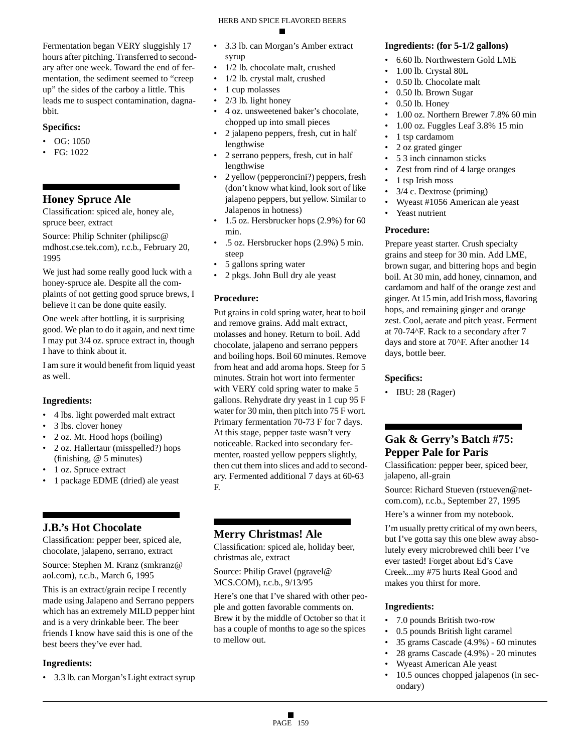Fermentation began VERY sluggishly 17 hours after pitching. Transferred to secondary after one week. Toward the end of fermentation, the sediment seemed to "creep up" the sides of the carboy a little. This leads me to suspect contamination, dagnabbit.

#### **Specifics:**

- OG: 1050
- FG: 1022

# **Honey Spruce Ale**

Classification: spiced ale, honey ale, spruce beer, extract

Source: Philip Schniter (philipsc@ mdhost.cse.tek.com), r.c.b., February 20, 1995

We just had some really good luck with a honey-spruce ale. Despite all the complaints of not getting good spruce brews, I believe it can be done quite easily.

One week after bottling, it is surprising good. We plan to do it again, and next time I may put 3/4 oz. spruce extract in, though I have to think about it.

I am sure it would benefit from liquid yeast as well.

#### **Ingredients:**

- 4 lbs. light powerded malt extract
- 3 lbs. clover honey
- 2 oz. Mt. Hood hops (boiling)
- 2 oz. Hallertaur (misspelled?) hops (finishing, @ 5 minutes)
- 1 oz. Spruce extract
- 1 package EDME (dried) ale yeast

# **J.B.'s Hot Chocolate**

Classification: pepper beer, spiced ale, chocolate, jalapeno, serrano, extract

Source: Stephen M. Kranz (smkranz@ aol.com), r.c.b., March 6, 1995

This is an extract/grain recipe I recently made using Jalapeno and Serrano peppers which has an extremely MILD pepper hint and is a very drinkable beer. The beer friends I know have said this is one of the best beers they've ever had.

#### **Ingredients:**

• 3.3 lb. can Morgan's Light extract syrup

- 3.3 lb. can Morgan's Amber extract syrup
- 1/2 lb. chocolate malt, crushed
- 1/2 lb. crystal malt, crushed
- 1 cup molasses
- 2/3 lb. light honey
- 4 oz. unsweetened baker's chocolate, chopped up into small pieces
- 2 jalapeno peppers, fresh, cut in half lengthwise
- 2 serrano peppers, fresh, cut in half lengthwise
- 2 yellow (pepperoncini?) peppers, fresh (don't know what kind, look sort of like jalapeno peppers, but yellow. Similar to Jalapenos in hotness)
- 1.5 oz. Hersbrucker hops  $(2.9\%)$  for 60 min.
- .5 oz. Hersbrucker hops (2.9%) 5 min. steep
- 5 gallons spring water
- 2 pkgs. John Bull dry ale yeast

#### **Procedure:**

Put grains in cold spring water, heat to boil and remove grains. Add malt extract, molasses and honey. Return to boil. Add chocolate, jalapeno and serrano peppers and boiling hops. Boil 60 minutes. Remove from heat and add aroma hops. Steep for 5 minutes. Strain hot wort into fermenter with VERY cold spring water to make 5 gallons. Rehydrate dry yeast in 1 cup 95 F water for 30 min, then pitch into 75 F wort. Primary fermentation 70-73 F for 7 days. At this stage, pepper taste wasn't very noticeable. Racked into secondary fermenter, roasted yellow peppers slightly, then cut them into slices and add to secondary. Fermented additional 7 days at 60-63 F.

# **Merry Christmas! Ale**

Classification: spiced ale, holiday beer, christmas ale, extract

Source: Philip Gravel (pgravel@ MCS.COM), r.c.b., 9/13/95

Here's one that I've shared with other people and gotten favorable comments on. Brew it by the middle of October so that it has a couple of months to age so the spices to mellow out.

#### **Ingredients: (for 5-1/2 gallons)**

- 6.60 lb. Northwestern Gold LME
- 1.00 lb. Crystal 80L
- 0.50 lb. Chocolate malt
- 0.50 lb. Brown Sugar
- 0.50 lb. Honey
- 1.00 oz. Northern Brewer 7.8% 60 min
- 1.00 oz. Fuggles Leaf 3.8% 15 min
- 1 tsp cardamom
- 2 oz grated ginger
- 5 3 inch cinnamon sticks
- Zest from rind of 4 large oranges
- 1 tsp Irish moss
- 3/4 c. Dextrose (priming)
- Wyeast #1056 American ale yeast
- Yeast nutrient

#### **Procedure:**

Prepare yeast starter. Crush specialty grains and steep for 30 min. Add LME, brown sugar, and bittering hops and begin boil. At 30 min, add honey, cinnamon, and cardamom and half of the orange zest and ginger. At 15 min, add Irish moss, flavoring hops, and remaining ginger and orange zest. Cool, aerate and pitch yeast. Ferment at 70-74^F. Rack to a secondary after 7 days and store at 70^F. After another 14 days, bottle beer.

#### **Specifics:**

• IBU: 28 (Rager)

# **Gak & Gerry's Batch #75: Pepper Pale for Paris**

Classification: pepper beer, spiced beer, jalapeno, all-grain

Source: Richard Stueven (rstueven@netcom.com), r.c.b., September 27, 1995

#### Here's a winner from my notebook.

I'm usually pretty critical of my own beers, but I've gotta say this one blew away absolutely every microbrewed chili beer I've ever tasted! Forget about Ed's Cave Creek...my #75 hurts Real Good and makes you thirst for more.

#### **Ingredients:**

- 7.0 pounds British two-row
- 0.5 pounds British light caramel
- 35 grams Cascade (4.9%) 60 minutes
- 28 grams Cascade (4.9%) 20 minutes
- Wyeast American Ale yeast
- 10.5 ounces chopped jalapenos (in secondary)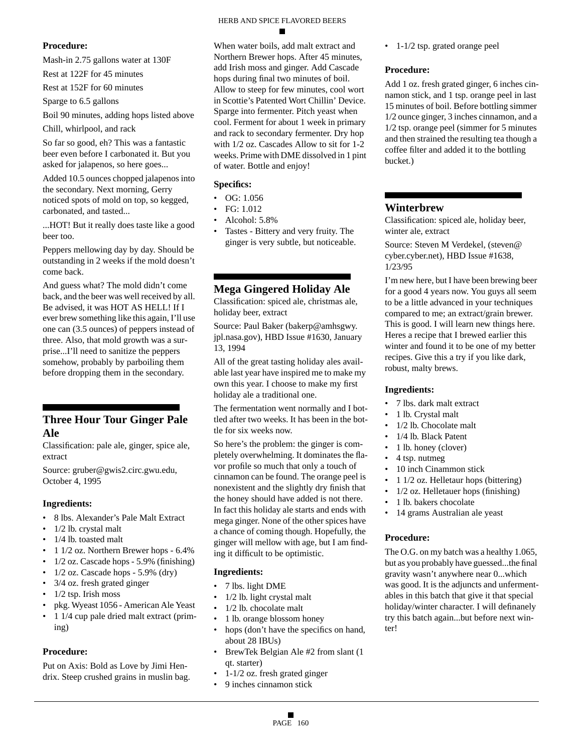#### HERB AND SPICE FLAVORED BEERS

#### **Procedure:**

Mash-in 2.75 gallons water at 130F

Rest at 122F for 45 minutes

Rest at 152F for 60 minutes

Sparge to 6.5 gallons

Boil 90 minutes, adding hops listed above

Chill, whirlpool, and rack

So far so good, eh? This was a fantastic beer even before I carbonated it. But you asked for jalapenos, so here goes...

Added 10.5 ounces chopped jalapenos into the secondary. Next morning, Gerry noticed spots of mold on top, so kegged, carbonated, and tasted...

...HOT! But it really does taste like a good beer too.

Peppers mellowing day by day. Should be outstanding in 2 weeks if the mold doesn't come back.

And guess what? The mold didn't come back, and the beer was well received by all. Be advised, it was HOT AS HELL! If I ever brew something like this again, I'll use one can (3.5 ounces) of peppers instead of three. Also, that mold growth was a surprise...I'll need to sanitize the peppers somehow, probably by parboiling them before dropping them in the secondary.

# **Three Hour Tour Ginger Pale Ale**

Classification: pale ale, ginger, spice ale, extract

Source: gruber@gwis2.circ.gwu.edu, October 4, 1995

# **Ingredients:**

- 8 lbs. Alexander's Pale Malt Extract
- 1/2 lb. crystal malt
- 1/4 lb. toasted malt
- 1 1/2 oz. Northern Brewer hops 6.4%
- 1/2 oz. Cascade hops 5.9% (finishing)
- $1/2$  oz. Cascade hops 5.9% (dry)
- 3/4 oz. fresh grated ginger
- $\cdot$  1/2 tsp. Irish moss
- pkg. Wyeast 1056 American Ale Yeast
- 1 1/4 cup pale dried malt extract (priming)

# **Procedure:**

Put on Axis: Bold as Love by Jimi Hendrix. Steep crushed grains in muslin bag. When water boils, add malt extract and Northern Brewer hops. After 45 minutes, add Irish moss and ginger. Add Cascade hops during final two minutes of boil. Allow to steep for few minutes, cool wort in Scottie's Patented Wort Chillin' Device. Sparge into fermenter. Pitch yeast when cool. Ferment for about 1 week in primary and rack to secondary fermenter. Dry hop with 1/2 oz. Cascades Allow to sit for 1-2 weeks. Prime with DME dissolved in 1 pint of water. Bottle and enjoy!

# **Specifics:**

- OG: 1.056
- FG: 1.012
- Alcohol: 5.8%
- Tastes Bittery and very fruity. The ginger is very subtle, but noticeable.

# **Mega Gingered Holiday Ale**

Classification: spiced ale, christmas ale, holiday beer, extract

Source: Paul Baker (bakerp@amhsgwy. jpl.nasa.gov), HBD Issue #1630, January 13, 1994

All of the great tasting holiday ales available last year have inspired me to make my own this year. I choose to make my first holiday ale a traditional one.

The fermentation went normally and I bottled after two weeks. It has been in the bottle for six weeks now.

So here's the problem: the ginger is completely overwhelming. It dominates the flavor profile so much that only a touch of cinnamon can be found. The orange peel is nonexistent and the slightly dry finish that the honey should have added is not there. In fact this holiday ale starts and ends with mega ginger. None of the other spices have a chance of coming though. Hopefully, the ginger will mellow with age, but I am finding it difficult to be optimistic.

# **Ingredients:**

- 7 lbs. light DME
- 1/2 lb. light crystal malt
- 1/2 lb. chocolate malt
- 1 lb. orange blossom honey
- hops (don't have the specifics on hand, about 28 IBUs)
- BrewTek Belgian Ale #2 from slant (1 qt. starter)
- 1-1/2 oz. fresh grated ginger
- 9 inches cinnamon stick

• 1-1/2 tsp. grated orange peel

# **Procedure:**

Add 1 oz. fresh grated ginger, 6 inches cinnamon stick, and 1 tsp. orange peel in last 15 minutes of boil. Before bottling simmer 1/2 ounce ginger, 3 inches cinnamon, and a 1/2 tsp. orange peel (simmer for 5 minutes and then strained the resulting tea though a coffee filter and added it to the bottling bucket.)

# **Winterbrew**

Classification: spiced ale, holiday beer, winter ale, extract

Source: Steven M Verdekel, (steven@ cyber.cyber.net), HBD Issue #1638, 1/23/95

I'm new here, but I have been brewing beer for a good 4 years now. You guys all seem to be a little advanced in your techniques compared to me; an extract/grain brewer. This is good. I will learn new things here. Heres a recipe that I brewed earlier this winter and found it to be one of my better recipes. Give this a try if you like dark, robust, malty brews.

# **Ingredients:**

- 7 lbs. dark malt extract
- 1 lb. Crystal malt
- 1/2 lb. Chocolate malt
- 1/4 lb. Black Patent
- 1 lb. honey (clover)
- 4 tsp. nutmeg
- 10 inch Cinammon stick
- 1 1/2 oz. Helletaur hops (bittering)
- 1/2 oz. Helletauer hops (finishing)
- 1 lb. bakers chocolate
- 14 grams Australian ale yeast

# **Procedure:**

The O.G. on my batch was a healthy 1.065, but as you probably have guessed...the final gravity wasn't anywhere near 0...which was good. It is the adjuncts and unfermentables in this batch that give it that special holiday/winter character. I will definanely try this batch again...but before next winter!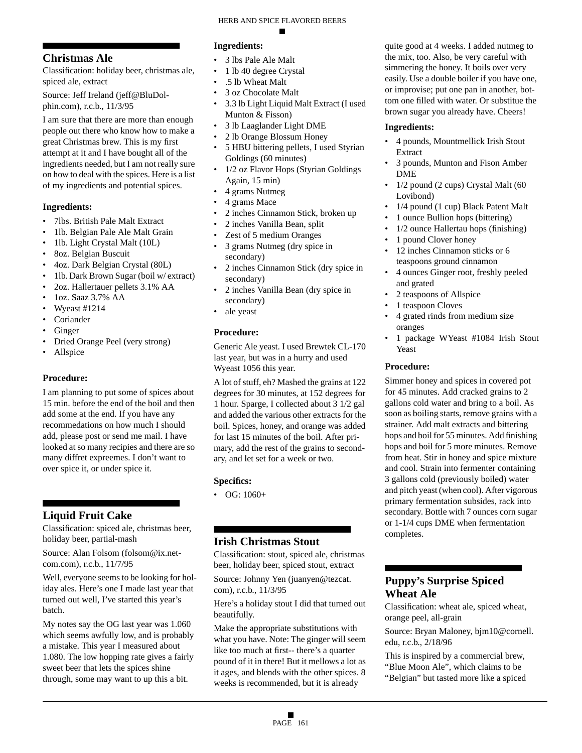# **Christmas Ale**

Classification: holiday beer, christmas ale, spiced ale, extract

Source: Jeff Ireland (jeff@BluDolphin.com), r.c.b., 11/3/95

I am sure that there are more than enough people out there who know how to make a great Christmas brew. This is my first attempt at it and I have bought all of the ingredients needed, but I am not really sure on how to deal with the spices. Here is a list of my ingredients and potential spices.

# **Ingredients:**

- 7lbs. British Pale Malt Extract
- 1lb. Belgian Pale Ale Malt Grain
- 1lb. Light Crystal Malt (10L)
- 8oz. Belgian Buscuit
- 4oz. Dark Belgian Crystal (80L)
- 1lb. Dark Brown Sugar (boil w/ extract)
- 2oz. Hallertauer pellets 3.1% AA
- 1oz. Saaz 3.7% AA
- Wyeast #1214
- Coriander
- Ginger
- Dried Orange Peel (very strong)
- Allspice

# **Procedure:**

I am planning to put some of spices about 15 min. before the end of the boil and then add some at the end. If you have any recommedations on how much I should add, please post or send me mail. I have looked at so many recipies and there are so many diffret expreemes. I don't want to over spice it, or under spice it.

# **Liquid Fruit Cake**

Classification: spiced ale, christmas beer, holiday beer, partial-mash

Source: Alan Folsom (folsom@ix.netcom.com), r.c.b., 11/7/95

Well, everyone seems to be looking for holiday ales. Here's one I made last year that turned out well, I've started this year's batch.

My notes say the OG last year was 1.060 which seems awfully low, and is probably a mistake. This year I measured about 1.080. The low hopping rate gives a fairly sweet beer that lets the spices shine through, some may want to up this a bit.

# **Ingredients:**

- 3 lbs Pale Ale Malt
- 1 lb 40 degree Crystal
- .5 lb Wheat Malt
- 3 oz Chocolate Malt
- 3.3 lb Light Liquid Malt Extract (I used Munton & Fisson)
- 3 lb Laaglander Light DME
- 2 lb Orange Blossum Honey
- 5 HBU bittering pellets, I used Styrian Goldings (60 minutes)
- 1/2 oz Flavor Hops (Styrian Goldings Again, 15 min)
- 4 grams Nutmeg
- 4 grams Mace
- 2 inches Cinnamon Stick, broken up
- 2 inches Vanilla Bean, split
- Zest of 5 medium Oranges
- 3 grams Nutmeg (dry spice in secondary)
- 2 inches Cinnamon Stick (dry spice in secondary)
- 2 inches Vanilla Bean (dry spice in secondary)
- ale yeast

# **Procedure:**

Generic Ale yeast. I used Brewtek CL-170 last year, but was in a hurry and used Wyeast 1056 this year.

A lot of stuff, eh? Mashed the grains at 122 degrees for 30 minutes, at 152 degrees for 1 hour. Sparge, I collected about 3 1/2 gal and added the various other extracts for the boil. Spices, honey, and orange was added for last 15 minutes of the boil. After primary, add the rest of the grains to secondary, and let set for a week or two.

# **Specifics:**

• OG:  $1060+$ 

# **Irish Christmas Stout**

Classification: stout, spiced ale, christmas beer, holiday beer, spiced stout, extract

Source: Johnny Yen (juanyen@tezcat. com), r.c.b., 11/3/95

Here's a holiday stout I did that turned out beautifully.

Make the appropriate substitutions with what you have. Note: The ginger will seem like too much at first-- there's a quarter pound of it in there! But it mellows a lot as it ages, and blends with the other spices. 8 weeks is recommended, but it is already

quite good at 4 weeks. I added nutmeg to the mix, too. Also, be very careful with simmering the honey. It boils over very easily. Use a double boiler if you have one, or improvise; put one pan in another, bottom one filled with water. Or substitue the brown sugar you already have. Cheers!

# **Ingredients:**

- 4 pounds, Mountmellick Irish Stout Extract
- 3 pounds, Munton and Fison Amber DME
- 1/2 pound (2 cups) Crystal Malt (60 Lovibond)
- 1/4 pound (1 cup) Black Patent Malt
- 1 ounce Bullion hops (bittering)
- 1/2 ounce Hallertau hops (finishing)
- 1 pound Clover honey
- 12 inches Cinnamon sticks or 6 teaspoons ground cinnamon
- 4 ounces Ginger root, freshly peeled and grated
- 2 teaspoons of Allspice
- 1 teaspoon Cloves
- 4 grated rinds from medium size oranges
- 1 package WYeast #1084 Irish Stout Yeast

# **Procedure:**

Simmer honey and spices in covered pot for 45 minutes. Add cracked grains to 2 gallons cold water and bring to a boil. As soon as boiling starts, remove grains with a strainer. Add malt extracts and bittering hops and boil for 55 minutes. Add finishing hops and boil for 5 more minutes. Remove from heat. Stir in honey and spice mixture and cool. Strain into fermenter containing 3 gallons cold (previously boiled) water and pitch yeast (when cool). After vigorous primary fermentation subsides, rack into secondary. Bottle with 7 ounces corn sugar or 1-1/4 cups DME when fermentation completes.

# **Puppy's Surprise Spiced Wheat Ale**

Classification: wheat ale, spiced wheat, orange peel, all-grain

Source: Bryan Maloney, bjm10@cornell. edu, r.c.b., 2/18/96

This is inspired by a commercial brew, "Blue Moon Ale", which claims to be "Belgian" but tasted more like a spiced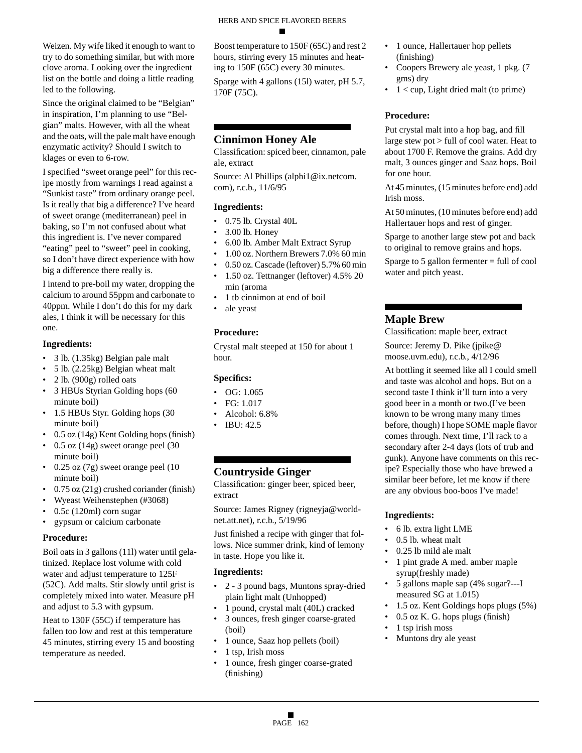Weizen. My wife liked it enough to want to try to do something similar, but with more clove aroma. Looking over the ingredient list on the bottle and doing a little reading led to the following.

Since the original claimed to be "Belgian" in inspiration, I'm planning to use "Belgian" malts. However, with all the wheat and the oats, will the pale malt have enough enzymatic activity? Should I switch to klages or even to 6-row.

I specified "sweet orange peel" for this recipe mostly from warnings I read against a "Sunkist taste" from ordinary orange peel. Is it really that big a difference? I've heard of sweet orange (mediterranean) peel in baking, so I'm not confused about what this ingredient is. I've never compared "eating" peel to "sweet" peel in cooking, so I don't have direct experience with how big a difference there really is.

I intend to pre-boil my water, dropping the calcium to around 55ppm and carbonate to 40ppm. While I don't do this for my dark ales, I think it will be necessary for this one.

#### **Ingredients:**

- 3 lb. (1.35kg) Belgian pale malt
- 5 lb. (2.25kg) Belgian wheat malt
- 2 lb. (900g) rolled oats
- 3 HBUs Styrian Golding hops (60 minute boil)
- 1.5 HBUs Styr. Golding hops (30 minute boil)
- 0.5 oz (14g) Kent Golding hops (finish)
- $\cdot$  0.5 oz (14g) sweet orange peel (30 minute boil)
- 0.25 oz (7g) sweet orange peel (10 minute boil)
- 0.75 oz (21g) crushed coriander (finish)
- Wyeast Weihenstephen (#3068)
- 0.5c (120ml) corn sugar
- gypsum or calcium carbonate

# **Procedure:**

Boil oats in 3 gallons (11l) water until gelatinized. Replace lost volume with cold water and adjust temperature to 125F (52C). Add malts. Stir slowly until grist is completely mixed into water. Measure pH and adjust to 5.3 with gypsum.

Heat to 130F (55C) if temperature has fallen too low and rest at this temperature 45 minutes, stirring every 15 and boosting temperature as needed.

Boost temperature to 150F (65C) and rest 2 hours, stirring every 15 minutes and heating to 150F (65C) every 30 minutes.

Sparge with 4 gallons (15l) water, pH 5.7, 170F (75C).

# **Cinnimon Honey Ale**

Classification: spiced beer, cinnamon, pale ale, extract

Source: Al Phillips (alphi1@ix.netcom. com), r.c.b., 11/6/95

# **Ingredients:**

- 0.75 lb. Crystal 40L
- 3.00 lb. Honey
- 6.00 lb. Amber Malt Extract Syrup
- 1.00 oz. Northern Brewers 7.0% 60 min
- 0.50 oz. Cascade (leftover) 5.7% 60 min
- 1.50 oz. Tettnanger (leftover) 4.5% 20 min (aroma
- 1 tb cinnimon at end of boil
- ale yeast

# **Procedure:**

Crystal malt steeped at 150 for about 1 hour.

# **Specifics:**

- $\bullet$  OG: 1.065
- FG: 1.017
- Alcohol: 6.8%
- IBU: 42.5

# **Countryside Ginger**

Classification: ginger beer, spiced beer, extract

Source: James Rigney (rigneyja@worldnet.att.net), r.c.b., 5/19/96

Just finished a recipe with ginger that follows. Nice summer drink, kind of lemony in taste. Hope you like it.

# **Ingredients:**

- 2 3 pound bags, Muntons spray-dried plain light malt (Unhopped)
- 1 pound, crystal malt (40L) cracked
- 3 ounces, fresh ginger coarse-grated (boil)
- 1 ounce, Saaz hop pellets (boil)
- 1 tsp, Irish moss
- 1 ounce, fresh ginger coarse-grated (finishing)
- 1 ounce, Hallertauer hop pellets (finishing)
- Coopers Brewery ale yeast, 1 pkg. (7 gms) dry
- $1 <$  cup, Light dried malt (to prime)

# **Procedure:**

Put crystal malt into a hop bag, and fill large stew pot > full of cool water. Heat to about 1700 F. Remove the grains. Add dry malt, 3 ounces ginger and Saaz hops. Boil for one hour.

At 45 minutes, (15 minutes before end) add Irish moss.

At 50 minutes, (10 minutes before end) add Hallertauer hops and rest of ginger.

Sparge to another large stew pot and back to original to remove grains and hops.

Sparge to 5 gallon fermenter = full of cool water and pitch yeast.

# **Maple Brew**

Classification: maple beer, extract Source: Jeremy D. Pike (jpike@ moose.uvm.edu), r.c.b., 4/12/96

At bottling it seemed like all I could smell and taste was alcohol and hops. But on a second taste I think it'll turn into a very good beer in a month or two.(I've been known to be wrong many many times before, though) I hope SOME maple flavor comes through. Next time, I'll rack to a secondary after 2-4 days (lots of trub and gunk). Anyone have comments on this recipe? Especially those who have brewed a similar beer before, let me know if there are any obvious boo-boos I've made!

# **Ingredients:**

- 6 lb. extra light LME
- 0.5 lb. wheat malt
- 0.25 lb mild ale malt
- 1 pint grade A med. amber maple syrup(freshly made)
- 5 gallons maple sap (4% sugar?---I measured SG at 1.015)
- 1.5 oz. Kent Goldings hops plugs (5%)
- 0.5 oz K. G. hops plugs (finish)
- 1 tsp irish moss
- Muntons dry ale yeast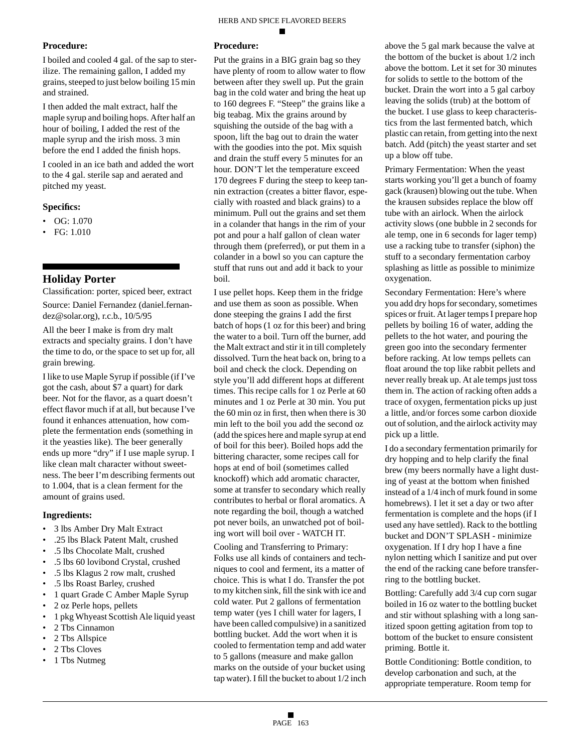#### **Procedure:**

I boiled and cooled 4 gal. of the sap to sterilize. The remaining gallon, I added my grains, steeped to just below boiling 15 min and strained.

I then added the malt extract, half the maple syrup and boiling hops. After half an hour of boiling, I added the rest of the maple syrup and the irish moss. 3 min before the end I added the finish hops.

I cooled in an ice bath and added the wort to the 4 gal. sterile sap and aerated and pitched my yeast.

#### **Specifics:**

- OG: 1.070
- FG: 1.010

# **Holiday Porter**

Classification: porter, spiced beer, extract Source: Daniel Fernandez (daniel.fernandez@solar.org), r.c.b., 10/5/95

All the beer I make is from dry malt extracts and specialty grains. I don't have the time to do, or the space to set up for, all grain brewing.

I like to use Maple Syrup if possible (if I've got the cash, about \$7 a quart) for dark beer. Not for the flavor, as a quart doesn't effect flavor much if at all, but because I've found it enhances attenuation, how complete the fermentation ends (something in it the yeasties like). The beer generally ends up more "dry" if I use maple syrup. I like clean malt character without sweetness. The beer I'm describing ferments out to 1.004, that is a clean ferment for the amount of grains used.

#### **Ingredients:**

- 3 lbs Amber Dry Malt Extract
- .25 lbs Black Patent Malt, crushed
- .5 lbs Chocolate Malt, crushed
- .5 lbs 60 lovibond Crystal, crushed
- .5 lbs Klagus 2 row malt, crushed
- .5 lbs Roast Barley, crushed
- 1 quart Grade C Amber Maple Syrup
- 2 oz Perle hops, pellets
- 1 pkg Whyeast Scottish Ale liquid yeast
- 2 Tbs Cinnamon
- 2 Tbs Allspice
- 2 Tbs Cloves
- 1 Tbs Nutmeg

#### **Procedure:**

Put the grains in a BIG grain bag so they have plenty of room to allow water to flow between after they swell up. Put the grain bag in the cold water and bring the heat up to 160 degrees F. "Steep" the grains like a big teabag. Mix the grains around by squishing the outside of the bag with a spoon, lift the bag out to drain the water with the goodies into the pot. Mix squish and drain the stuff every 5 minutes for an hour. DON'T let the temperature exceed 170 degrees F during the steep to keep tannin extraction (creates a bitter flavor, especially with roasted and black grains) to a minimum. Pull out the grains and set them in a colander that hangs in the rim of your pot and pour a half gallon of clean water through them (preferred), or put them in a colander in a bowl so you can capture the stuff that runs out and add it back to your boil.

I use pellet hops. Keep them in the fridge and use them as soon as possible. When done steeping the grains I add the first batch of hops (1 oz for this beer) and bring the water to a boil. Turn off the burner, add the Malt extract and stir it in till completely dissolved. Turn the heat back on, bring to a boil and check the clock. Depending on style you'll add different hops at different times. This recipe calls for 1 oz Perle at 60 minutes and 1 oz Perle at 30 min. You put the 60 min oz in first, then when there is 30 min left to the boil you add the second oz (add the spices here and maple syrup at end of boil for this beer). Boiled hops add the bittering character, some recipes call for hops at end of boil (sometimes called knockoff) which add aromatic character, some at transfer to secondary which really contributes to herbal or floral aromatics. A note regarding the boil, though a watched pot never boils, an unwatched pot of boiling wort will boil over - WATCH IT.

Cooling and Transferring to Primary: Folks use all kinds of containers and techniques to cool and ferment, its a matter of choice. This is what I do. Transfer the pot to my kitchen sink, fill the sink with ice and cold water. Put 2 gallons of fermentation temp water (yes I chill water for lagers, I have been called compulsive) in a sanitized bottling bucket. Add the wort when it is cooled to fermentation temp and add water to 5 gallons (measure and make gallon marks on the outside of your bucket using tap water). I fill the bucket to about 1/2 inch

above the 5 gal mark because the valve at the bottom of the bucket is about 1/2 inch above the bottom. Let it set for 30 minutes for solids to settle to the bottom of the bucket. Drain the wort into a 5 gal carboy leaving the solids (trub) at the bottom of the bucket. I use glass to keep characteristics from the last fermented batch, which plastic can retain, from getting into the next batch. Add (pitch) the yeast starter and set up a blow off tube.

Primary Fermentation: When the yeast starts working you'll get a bunch of foamy gack (krausen) blowing out the tube. When the krausen subsides replace the blow off tube with an airlock. When the airlock activity slows (one bubble in 2 seconds for ale temp, one in 6 seconds for lager temp) use a racking tube to transfer (siphon) the stuff to a secondary fermentation carboy splashing as little as possible to minimize oxygenation.

Secondary Fermentation: Here's where you add dry hops for secondary, sometimes spices or fruit. At lager temps I prepare hop pellets by boiling 16 of water, adding the pellets to the hot water, and pouring the green goo into the secondary fermenter before racking. At low temps pellets can float around the top like rabbit pellets and never really break up. At ale temps just toss them in. The action of racking often adds a trace of oxygen, fermentation picks up just a little, and/or forces some carbon dioxide out of solution, and the airlock activity may pick up a little.

I do a secondary fermentation primarily for dry hopping and to help clarify the final brew (my beers normally have a light dusting of yeast at the bottom when finished instead of a 1/4 inch of murk found in some homebrews). I let it set a day or two after fermentation is complete and the hops (if I used any have settled). Rack to the bottling bucket and DON'T SPLASH - minimize oxygenation. If I dry hop I have a fine nylon netting which I sanitize and put over the end of the racking cane before transferring to the bottling bucket.

Bottling: Carefully add 3/4 cup corn sugar boiled in 16 oz water to the bottling bucket and stir without splashing with a long sanitized spoon getting agitation from top to bottom of the bucket to ensure consistent priming. Bottle it.

Bottle Conditioning: Bottle condition, to develop carbonation and such, at the appropriate temperature. Room temp for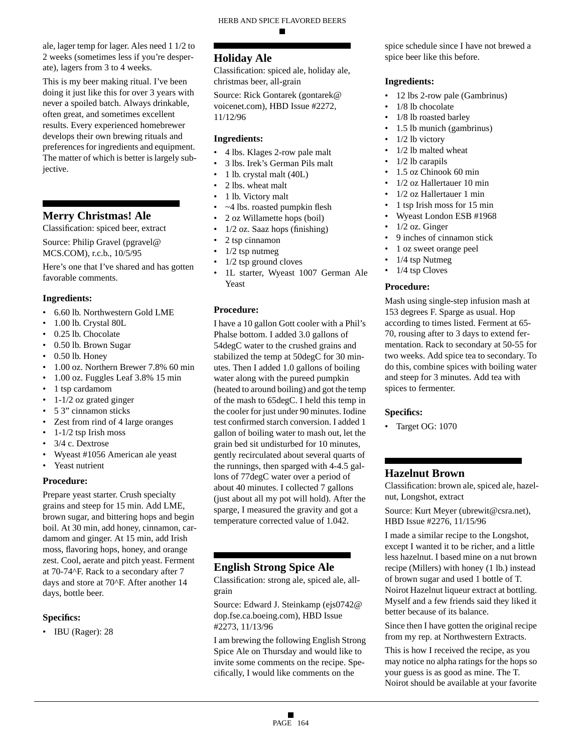ale, lager temp for lager. Ales need 1 1/2 to 2 weeks (sometimes less if you're desperate), lagers from 3 to 4 weeks.

This is my beer making ritual. I've been doing it just like this for over 3 years with never a spoiled batch. Always drinkable, often great, and sometimes excellent results. Every experienced homebrewer develops their own brewing rituals and preferences for ingredients and equipment. The matter of which is better is largely subjective.

# **Merry Christmas! Ale**

Classification: spiced beer, extract

Source: Philip Gravel (pgravel@ MCS.COM), r.c.b., 10/5/95

Here's one that I've shared and has gotten favorable comments.

#### **Ingredients:**

- 6.60 lb. Northwestern Gold LME
- 1.00 lb. Crystal 80L
- 0.25 lb. Chocolate
- 0.50 lb. Brown Sugar
- 0.50 lb. Honey
- 1.00 oz. Northern Brewer 7.8% 60 min
- 1.00 oz. Fuggles Leaf 3.8% 15 min
- 1 tsp cardamom
- $\cdot$  1-1/2 oz grated ginger
- 5 3" cinnamon sticks
- Zest from rind of 4 large oranges
- $\cdot$  1-1/2 tsp Irish moss
- 3/4 c. Dextrose
- Wyeast #1056 American ale yeast
- Yeast nutrient

# **Procedure:**

Prepare yeast starter. Crush specialty grains and steep for 15 min. Add LME, brown sugar, and bittering hops and begin boil. At 30 min, add honey, cinnamon, cardamom and ginger. At 15 min, add Irish moss, flavoring hops, honey, and orange zest. Cool, aerate and pitch yeast. Ferment at 70-74^F. Rack to a secondary after 7 days and store at 70^F. After another 14 days, bottle beer.

# **Specifics:**

• IBU (Rager): 28

# **Holiday Ale**

Classification: spiced ale, holiday ale, christmas beer, all-grain

Source: Rick Gontarek (gontarek@ voicenet.com), HBD Issue #2272, 11/12/96

# **Ingredients:**

- 4 lbs. Klages 2-row pale malt
- 3 lbs. Irek's German Pils malt
- 1 lb. crystal malt (40L)
- 2 lbs. wheat malt
- 1 lb. Victory malt
- ~4 lbs. roasted pumpkin flesh
- 2 oz Willamette hops (boil)
- 1/2 oz. Saaz hops (finishing)
- 2 tsp cinnamon
- 1/2 tsp nutmeg
- 1/2 tsp ground cloves
- 1L starter, Wyeast 1007 German Ale Yeast

# **Procedure:**

I have a 10 gallon Gott cooler with a Phil's Phalse bottom. I added 3.0 gallons of 54degC water to the crushed grains and stabilized the temp at 50degC for 30 minutes. Then I added 1.0 gallons of boiling water along with the pureed pumpkin (heated to around boiling) and got the temp of the mash to 65degC. I held this temp in the cooler for just under 90 minutes. Iodine test confirmed starch conversion. I added 1 gallon of boiling water to mash out, let the grain bed sit undisturbed for 10 minutes, gently recirculated about several quarts of the runnings, then sparged with 4-4.5 gallons of 77degC water over a period of about 40 minutes. I collected 7 gallons (just about all my pot will hold). After the sparge, I measured the gravity and got a temperature corrected value of 1.042.

# **English Strong Spice Ale**

Classification: strong ale, spiced ale, allgrain

Source: Edward J. Steinkamp (ejs0742@ dop.fse.ca.boeing.com), HBD Issue #2273, 11/13/96

I am brewing the following English Strong Spice Ale on Thursday and would like to invite some comments on the recipe. Specifically, I would like comments on the

spice schedule since I have not brewed a spice beer like this before.

# **Ingredients:**

- 12 lbs 2-row pale (Gambrinus)
- 1/8 lb chocolate
- 1/8 lb roasted barley
- 1.5 lb munich (gambrinus)
- $\cdot$  1/2 lb victory
- 1/2 lb malted wheat
- 1/2 lb carapils
- 1.5 oz Chinook 60 min
- 1/2 oz Hallertauer 10 min
- 1/2 oz Hallertauer 1 min
- 1 tsp Irish moss for 15 min
- Wyeast London ESB #1968
- $\cdot$  1/2 oz. Ginger
- 9 inches of cinnamon stick
- 1 oz sweet orange peel
- 1/4 tsp Nutmeg
- 1/4 tsp Cloves

# **Procedure:**

Mash using single-step infusion mash at 153 degrees F. Sparge as usual. Hop according to times listed. Ferment at 65- 70, rousing after to 3 days to extend fermentation. Rack to secondary at 50-55 for two weeks. Add spice tea to secondary. To do this, combine spices with boiling water and steep for 3 minutes. Add tea with spices to fermenter.

# **Specifics:**

• Target OG: 1070

# **Hazelnut Brown**

Classification: brown ale, spiced ale, hazelnut, Longshot, extract

Source: Kurt Meyer (ubrewit@csra.net), HBD Issue #2276, 11/15/96

I made a similar recipe to the Longshot, except I wanted it to be richer, and a little less hazelnut. I based mine on a nut brown recipe (Millers) with honey (1 lb.) instead of brown sugar and used 1 bottle of T. Noirot Hazelnut liqueur extract at bottling. Myself and a few friends said they liked it better because of its balance.

Since then I have gotten the original recipe from my rep. at Northwestern Extracts.

This is how I received the recipe, as you may notice no alpha ratings for the hops so your guess is as good as mine. The T. Noirot should be available at your favorite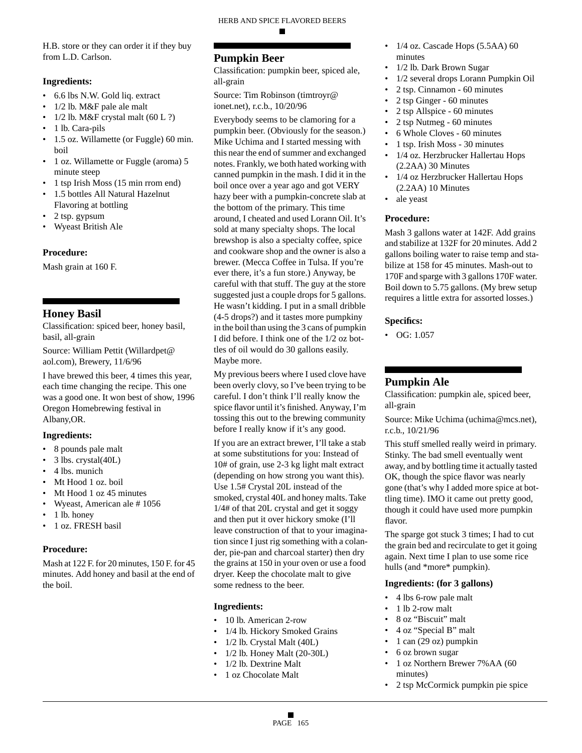H.B. store or they can order it if they buy from L.D. Carlson.

#### **Ingredients:**

- 6.6 lbs N.W. Gold liq. extract
- 1/2 lb. M&F pale ale malt
- $1/2$  lb. M&F crystal malt  $(60 L ?)$
- 1 lb. Cara-pils
- 1.5 oz. Willamette (or Fuggle) 60 min. boil
- 1 oz. Willamette or Fuggle (aroma) 5 minute steep
- 1 tsp Irish Moss (15 min rrom end)
- 1.5 bottles All Natural Hazelnut Flavoring at bottling
- 2 tsp. gypsum
- Wyeast British Ale

# **Procedure:**

Mash grain at 160 F.

# **Honey Basil**

Classification: spiced beer, honey basil, basil, all-grain

Source: William Pettit (Willardpet@ aol.com), Brewery, 11/6/96

I have brewed this beer, 4 times this year, each time changing the recipe. This one was a good one. It won best of show, 1996 Oregon Homebrewing festival in Albany,OR.

# **Ingredients:**

- 8 pounds pale malt
- 3 lbs. crystal(40L)
- 4 lbs. munich
- Mt Hood 1 oz. boil
- Mt Hood 1 oz 45 minutes
- Wyeast, American ale # 1056
- 1 lb. honey
- 1 oz. FRESH basil

# **Procedure:**

Mash at 122 F. for 20 minutes, 150 F. for 45 minutes. Add honey and basil at the end of the boil.

# **Pumpkin Beer**

Classification: pumpkin beer, spiced ale, all-grain

Source: Tim Robinson (timtroyr@ ionet.net), r.c.b., 10/20/96

Everybody seems to be clamoring for a pumpkin beer. (Obviously for the season.) Mike Uchima and I started messing with this near the end of summer and exchanged notes. Frankly, we both hated working with canned pumpkin in the mash. I did it in the boil once over a year ago and got VERY hazy beer with a pumpkin-concrete slab at the bottom of the primary. This time around, I cheated and used Lorann Oil. It's sold at many specialty shops. The local brewshop is also a specialty coffee, spice and cookware shop and the owner is also a brewer. (Mecca Coffee in Tulsa. If you're ever there, it's a fun store.) Anyway, be careful with that stuff. The guy at the store suggested just a couple drops for 5 gallons. He wasn't kidding. I put in a small dribble (4-5 drops?) and it tastes more pumpkiny in the boil than using the 3 cans of pumpkin I did before. I think one of the 1/2 oz bottles of oil would do 30 gallons easily. Maybe more.

My previous beers where I used clove have been overly clovy, so I've been trying to be careful. I don't think I'll really know the spice flavor until it's finished. Anyway, I'm tossing this out to the brewing community before I really know if it's any good.

If you are an extract brewer, I'll take a stab at some substitutions for you: Instead of 10# of grain, use 2-3 kg light malt extract (depending on how strong you want this). Use 1.5# Crystal 20L instead of the smoked, crystal 40L and honey malts. Take 1/4# of that 20L crystal and get it soggy and then put it over hickory smoke (I'll leave construction of that to your imagination since I just rig something with a colander, pie-pan and charcoal starter) then dry the grains at 150 in your oven or use a food dryer. Keep the chocolate malt to give some redness to the beer.

# **Ingredients:**

- 10 lb. American 2-row
- 1/4 lb. Hickory Smoked Grains
- 1/2 lb. Crystal Malt (40L)
- 1/2 lb. Honey Malt (20-30L)
- 1/2 lb. Dextrine Malt
- 1 oz Chocolate Malt
- $\cdot$  1/4 oz. Cascade Hops (5.5AA) 60 minutes
- 1/2 lb. Dark Brown Sugar
- 1/2 several drops Lorann Pumpkin Oil
- 2 tsp. Cinnamon 60 minutes
- 2 tsp Ginger 60 minutes
- 2 tsp Allspice 60 minutes
- 2 tsp Nutmeg 60 minutes
- 6 Whole Cloves 60 minutes
- 1 tsp. Irish Moss 30 minutes
- 1/4 oz. Herzbrucker Hallertau Hops (2.2AA) 30 Minutes
- 1/4 oz Herzbrucker Hallertau Hops (2.2AA) 10 Minutes
- ale yeast

# **Procedure:**

Mash 3 gallons water at 142F. Add grains and stabilize at 132F for 20 minutes. Add 2 gallons boiling water to raise temp and stabilize at 158 for 45 minutes. Mash-out to 170F and sparge with 3 gallons 170F water. Boil down to 5.75 gallons. (My brew setup requires a little extra for assorted losses.)

# **Specifics:**

• OG: 1.057

# **Pumpkin Ale**

Classification: pumpkin ale, spiced beer, all-grain

Source: Mike Uchima (uchima@mcs.net), r.c.b., 10/21/96

This stuff smelled really weird in primary. Stinky. The bad smell eventually went away, and by bottling time it actually tasted OK, though the spice flavor was nearly gone (that's why I added more spice at bottling time). IMO it came out pretty good, though it could have used more pumpkin flavor.

The sparge got stuck 3 times; I had to cut the grain bed and recirculate to get it going again. Next time I plan to use some rice hulls (and \*more\* pumpkin).

# **Ingredients: (for 3 gallons)**

- 4 lbs 6-row pale malt
- 1 lb 2-row malt
- 8 oz "Biscuit" malt
- 4 oz "Special B" malt
- 1 can (29 oz) pumpkin
- 6 oz brown sugar
- 1 oz Northern Brewer 7%AA (60 minutes)
- 2 tsp McCormick pumpkin pie spice